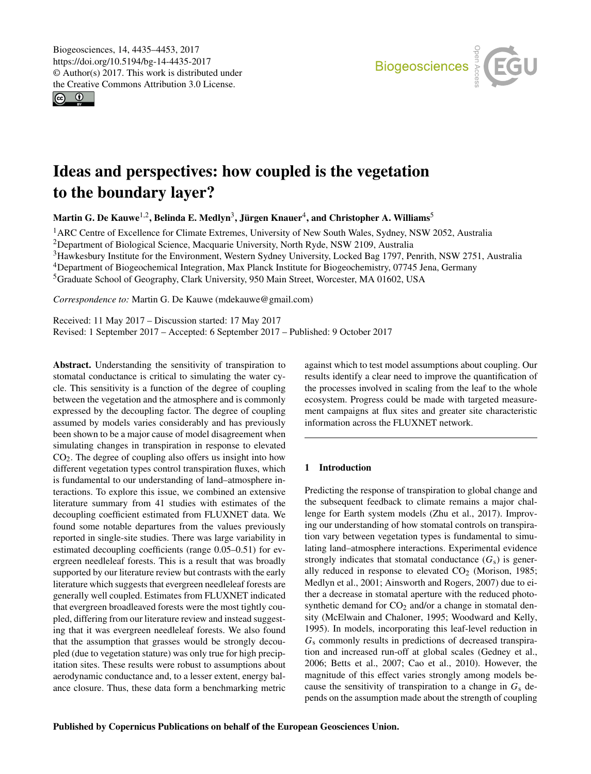<span id="page-0-1"></span> $\circledcirc$ 



# Ideas and perspectives: how coupled is the vegetation to the boundary layer?

Martin G. De Kauwe $^{1,2}$  $^{1,2}$  $^{1,2}$ , Belinda E. Medlyn $^3$  $^3$ , Jürgen Knauer $^4$  $^4$ , and Christopher A. Williams $^5$  $^5$ 

<sup>1</sup> ARC Centre of Excellence for Climate Extremes, University of New South Wales, Sydney, NSW 2052, Australia

<sup>2</sup>Department of Biological Science, Macquarie University, North Ryde, NSW 2109, Australia

<sup>3</sup>Hawkesbury Institute for the Environment, Western Sydney University, Locked Bag 1797, Penrith, NSW 2751, Australia

<sup>4</sup>Department of Biogeochemical Integration, Max Planck Institute for Biogeochemistry, 07745 Jena, Germany

<sup>5</sup>Graduate School of Geography, Clark University, 950 Main Street, Worcester, MA 01602, USA

*Correspondence to:* Martin G. De Kauwe (mdekauwe@gmail.com)

Received: 11 May 2017 – Discussion started: 17 May 2017 Revised: 1 September 2017 – Accepted: 6 September 2017 – Published: 9 October 2017

<span id="page-0-0"></span>Abstract. Understanding the sensitivity of transpiration to stomatal conductance is critical to simulating the water cycle. This sensitivity is a function of the degree of coupling between the vegetation and the atmosphere and is commonly expressed by the decoupling factor. The degree of coupling assumed by models varies considerably and has previously been shown to be a major cause of model disagreement when simulating changes in transpiration in response to elevated CO2. The degree of coupling also offers us insight into how different vegetation types control transpiration fluxes, which is fundamental to our understanding of land–atmosphere interactions. To explore this issue, we combined an extensive literature summary from 41 studies with estimates of the decoupling coefficient estimated from FLUXNET data. We found some notable departures from the values previously reported in single-site studies. There was large variability in estimated decoupling coefficients (range 0.05–0.51) for evergreen needleleaf forests. This is a result that was broadly supported by our literature review but contrasts with the early literature which suggests that evergreen needleleaf forests are generally well coupled. Estimates from FLUXNET indicated that evergreen broadleaved forests were the most tightly coupled, differing from our literature review and instead suggesting that it was evergreen needleleaf forests. We also found that the assumption that grasses would be strongly decoupled (due to vegetation stature) was only true for high precipitation sites. These results were robust to assumptions about aerodynamic conductance and, to a lesser extent, energy balance closure. Thus, these data form a benchmarking metric

against which to test model assumptions about coupling. Our results identify a clear need to improve the quantification of the processes involved in scaling from the leaf to the whole ecosystem. Progress could be made with targeted measurement campaigns at flux sites and greater site characteristic information across the FLUXNET network.

## 1 Introduction

Predicting the response of transpiration to global change and the subsequent feedback to climate remains a major challenge for Earth system models [\(Zhu et al.,](#page-18-0) [2017\)](#page-18-0). Improving our understanding of how stomatal controls on transpiration vary between vegetation types is fundamental to simulating land–atmosphere interactions. Experimental evidence strongly indicates that stomatal conductance  $(G_s)$  is generally reduced in response to elevated  $CO<sub>2</sub>$  [\(Morison,](#page-17-0) [1985;](#page-17-0) [Medlyn et al.,](#page-17-1) [2001;](#page-17-1) [Ainsworth and Rogers,](#page-15-0) [2007\)](#page-15-0) due to either a decrease in stomatal aperture with the reduced photosynthetic demand for  $CO<sub>2</sub>$  and/or a change in stomatal density [\(McElwain and Chaloner,](#page-16-0) [1995;](#page-16-0) [Woodward and Kelly,](#page-18-1) [1995\)](#page-18-1). In models, incorporating this leaf-level reduction in  $G<sub>s</sub>$  commonly results in predictions of decreased transpiration and increased run-off at global scales [\(Gedney et al.,](#page-15-1) [2006;](#page-15-1) [Betts et al.,](#page-15-2) [2007;](#page-15-2) [Cao et al.,](#page-15-3) [2010\)](#page-15-3). However, the magnitude of this effect varies strongly among models because the sensitivity of transpiration to a change in  $G_s$  depends on the assumption made about the strength of coupling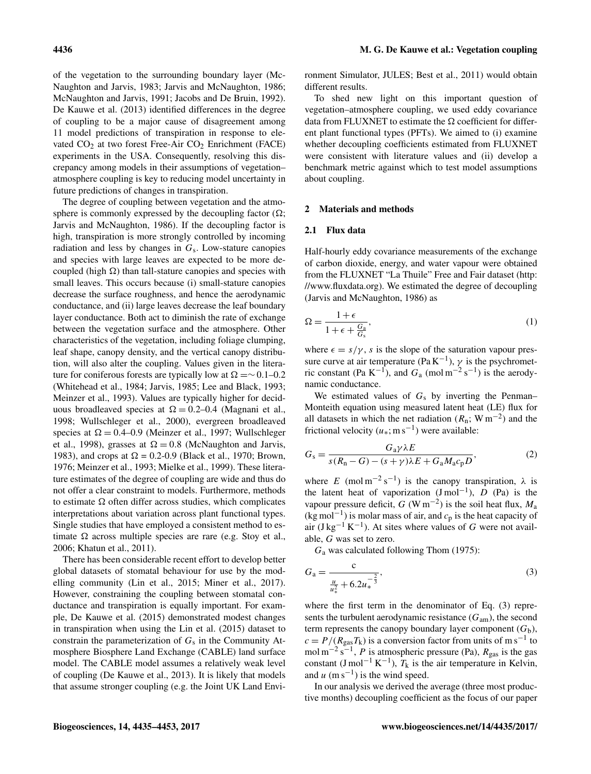of the vegetation to the surrounding boundary layer [\(Mc-](#page-17-2)[Naughton and Jarvis,](#page-17-2) [1983;](#page-17-2) [Jarvis and McNaughton,](#page-16-1) [1986;](#page-16-1) [McNaughton and Jarvis,](#page-17-3) [1991;](#page-17-3) [Jacobs and De Bruin,](#page-16-2) [1992\)](#page-16-2). [De Kauwe et al.](#page-15-4) [\(2013\)](#page-15-4) identified differences in the degree of coupling to be a major cause of disagreement among 11 model predictions of transpiration in response to elevated  $CO<sub>2</sub>$  at two forest Free-Air  $CO<sub>2</sub>$  Enrichment (FACE) experiments in the USA. Consequently, resolving this discrepancy among models in their assumptions of vegetation– atmosphere coupling is key to reducing model uncertainty in future predictions of changes in transpiration.

The degree of coupling between vegetation and the atmosphere is commonly expressed by the decoupling factor  $(\Omega)$ ; Jarvis and McNaughton, 1986). If the decoupling factor is high, transpiration is more strongly controlled by incoming radiation and less by changes in  $G_s$ . Low-stature canopies and species with large leaves are expected to be more decoupled (high  $\Omega$ ) than tall-stature canopies and species with small leaves. This occurs because (i) small-stature canopies decrease the surface roughness, and hence the aerodynamic conductance, and (ii) large leaves decrease the leaf boundary layer conductance. Both act to diminish the rate of exchange between the vegetation surface and the atmosphere. Other characteristics of the vegetation, including foliage clumping, leaf shape, canopy density, and the vertical canopy distribution, will also alter the coupling. Values given in the literature for coniferous forests are typically low at  $\Omega = \sim 0.1 - 0.2$ [\(Whitehead et al.,](#page-17-4) [1984;](#page-17-4) [Jarvis,](#page-16-3) [1985;](#page-16-3) [Lee and Black,](#page-16-4) [1993;](#page-16-4) [Meinzer et al.,](#page-17-5) [1993\)](#page-17-5). Values are typically higher for deciduous broadleaved species at  $\Omega = 0.2{\text -}0.4$  [\(Magnani et al.,](#page-16-5) [1998;](#page-16-5) [Wullschleger et al.,](#page-18-2) [2000\)](#page-18-2), evergreen broadleaved species at  $\Omega = 0.4{\text{-}}0.9$  [\(Meinzer et al.,](#page-17-6) [1997;](#page-17-6) [Wullschleger](#page-18-3) [et al.,](#page-18-3) [1998\)](#page-18-3), grasses at  $\Omega = 0.8$  [\(McNaughton and Jarvis,](#page-17-2) [1983\)](#page-17-2), and crops at  $\Omega = 0.2{\text -}0.9$  [\(Black et al.,](#page-15-5) [1970;](#page-15-5) [Brown,](#page-15-6) [1976;](#page-15-6) [Meinzer et al.,](#page-17-5) [1993;](#page-17-5) [Mielke et al.,](#page-17-7) [1999\)](#page-17-7). These literature estimates of the degree of coupling are wide and thus do not offer a clear constraint to models. Furthermore, methods to estimate  $\Omega$  often differ across studies, which complicates interpretations about variation across plant functional types. Single studies that have employed a consistent method to estimate  $\Omega$  across multiple species are rare (e.g. [Stoy et al.,](#page-17-8) [2006;](#page-17-8) [Khatun et al.,](#page-16-6) [2011\)](#page-16-6).

There has been considerable recent effort to develop better global datasets of stomatal behaviour for use by the modelling community [\(Lin et al.,](#page-16-7) [2015;](#page-16-7) [Miner et al.,](#page-17-9) [2017\)](#page-17-9). However, constraining the coupling between stomatal conductance and transpiration is equally important. For example, [De Kauwe et al.](#page-15-7) [\(2015\)](#page-15-7) demonstrated modest changes in transpiration when using the [Lin et al.](#page-16-7) [\(2015\)](#page-16-7) dataset to constrain the parameterization of  $G_s$  in the Community Atmosphere Biosphere Land Exchange (CABLE) land surface model. The CABLE model assumes a relatively weak level of coupling [\(De Kauwe et al.,](#page-15-4) [2013\)](#page-15-4). It is likely that models that assume stronger coupling (e.g. the Joint UK Land Environment Simulator, JULES; [Best et al.,](#page-15-8) [2011\)](#page-15-8) would obtain different results.

To shed new light on this important question of vegetation–atmosphere coupling, we used eddy covariance data from FLUXNET to estimate the  $\Omega$  coefficient for different plant functional types (PFTs). We aimed to (i) examine whether decoupling coefficients estimated from FLUXNET were consistent with literature values and (ii) develop a benchmark metric against which to test model assumptions about coupling.

#### 2 Materials and methods

#### 2.1 Flux data

Half-hourly eddy covariance measurements of the exchange of carbon dioxide, energy, and water vapour were obtained from the FLUXNET "La Thuile" Free and Fair dataset [\(http:](http://www.fluxdata.org) [//www.fluxdata.org\)](http://www.fluxdata.org). We estimated the degree of decoupling [\(Jarvis and McNaughton,](#page-16-1) [1986\)](#page-16-1) as

$$
\Omega = \frac{1+\epsilon}{1+\epsilon + \frac{G_a}{G_s}},\tag{1}
$$

where  $\epsilon = s/\gamma$ , s is the slope of the saturation vapour pressure curve at air temperature (Pa K<sup>-1</sup>),  $\gamma$  is the psychrometric constant (Pa K<sup>-1</sup>), and  $G_a$  (mol m<sup>-2</sup> s<sup>-1</sup>) is the aerodynamic conductance.

We estimated values of  $G_s$  by inverting the Penman– Monteith equation using measured latent heat (LE) flux for all datasets in which the net radiation ( $R_n$ ; W m<sup>-2</sup>) and the frictional velocity  $(u_*,; m s^{-1})$  were available:

$$
G_{\rm s} = \frac{G_{\rm a}\gamma\lambda E}{s(R_{\rm n}-G) - (s+\gamma)\lambda E + G_{\rm a}M_{\rm a}c_{\rm p}D},\tag{2}
$$

where E (mol m<sup>-2</sup> s<sup>-1</sup>) is the canopy transpiration,  $\lambda$  is the latent heat of vaporization  $(J \text{ mol}^{-1})$ ,  $D$  (Pa) is the vapour pressure deficit,  $G$  (W m<sup>-2</sup>) is the soil heat flux,  $M_a$ (kg mol<sup>-1</sup>) is molar mass of air, and  $c_p$  is the heat capacity of air (J kg<sup>-1</sup> K<sup>-1</sup>). At sites where values of G were not available, G was set to zero.

 $G_a$  was calculated following [Thom](#page-17-10) [\(1975\)](#page-17-10):

$$
G_{a} = \frac{c}{\frac{u}{u_{*}^{2}} + 6.2u_{*}^{-\frac{2}{3}}},
$$
\n(3)

where the first term in the denominator of Eq. (3) represents the turbulent aerodynamic resistance  $(G_{am})$ , the second term represents the canopy boundary layer component  $(G_b)$ ,  $c = P/(R_{\text{gas}}T_{\text{k}})$  is a conversion factor from units of m s<sup>-1</sup> to mol m<sup>-2</sup> s<sup>-1</sup>, *P* is atmospheric pressure (Pa),  $R_{\text{gas}}$  is the gas constant (J mol<sup>-1</sup> K<sup>-1</sup>),  $T_k$  is the air temperature in Kelvin, and  $u$  (m s<sup>-1</sup>) is the wind speed.

In our analysis we derived the average (three most productive months) decoupling coefficient as the focus of our paper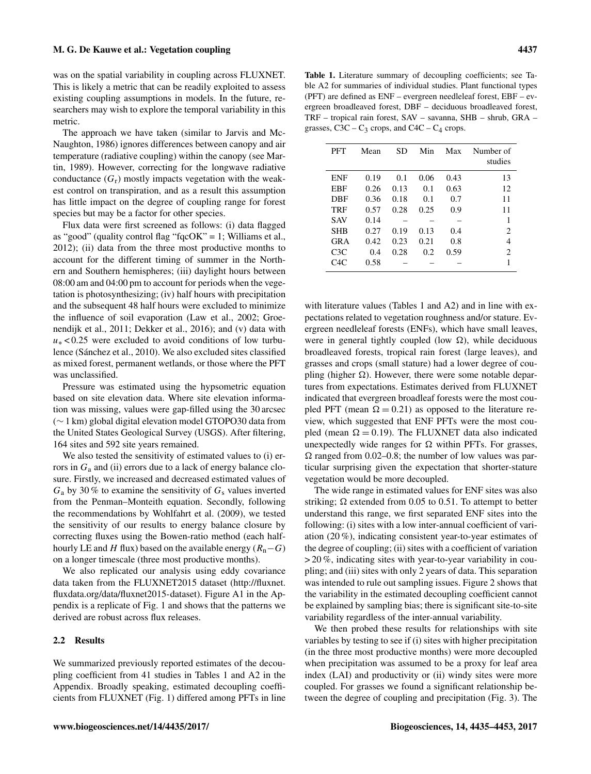was on the spatial variability in coupling across FLUXNET. This is likely a metric that can be readily exploited to assess existing coupling assumptions in models. In the future, researchers may wish to explore the temporal variability in this metric.

The approach we have taken (similar to [Jarvis and Mc-](#page-16-1)[Naughton,](#page-16-1) [1986\)](#page-16-1) ignores differences between canopy and air temperature (radiative coupling) within the canopy (see [Mar](#page-16-8)[tin,](#page-16-8) [1989\)](#page-16-8). However, correcting for the longwave radiative conductance  $(G_r)$  mostly impacts vegetation with the weakest control on transpiration, and as a result this assumption has little impact on the degree of coupling range for forest species but may be a factor for other species.

Flux data were first screened as follows: (i) data flagged as "good" (quality control flag "fqcOK" = 1; [Williams et al.,](#page-17-11) [2012\)](#page-17-11); (ii) data from the three most productive months to account for the different timing of summer in the Northern and Southern hemispheres; (iii) daylight hours between 08:00 am and 04:00 pm to account for periods when the vegetation is photosynthesizing; (iv) half hours with precipitation and the subsequent 48 half hours were excluded to minimize the influence of soil evaporation [\(Law et al.,](#page-16-9) [2002;](#page-16-9) [Groe](#page-15-9)[nendijk et al.,](#page-15-9) [2011;](#page-15-9) [Dekker et al.,](#page-15-10) [2016\)](#page-15-10); and (v) data with  $u_*$  < 0.25 were excluded to avoid conditions of low turbulence [\(Sánchez et al.,](#page-17-12) [2010\)](#page-17-12). We also excluded sites classified as mixed forest, permanent wetlands, or those where the PFT was unclassified.

Pressure was estimated using the hypsometric equation based on site elevation data. Where site elevation information was missing, values were gap-filled using the 30 arcsec (∼ 1 km) global digital elevation model GTOPO30 data from the United States Geological Survey (USGS). After filtering, 164 sites and 592 site years remained.

We also tested the sensitivity of estimated values to (i) errors in  $G_a$  and (ii) errors due to a lack of energy balance closure. Firstly, we increased and decreased estimated values of  $G_a$  by 30% to examine the sensitivity of  $G_s$  values inverted from the Penman–Monteith equation. Secondly, following the recommendations by [Wohlfahrt et al.](#page-18-4) [\(2009\)](#page-18-4), we tested the sensitivity of our results to energy balance closure by correcting fluxes using the Bowen-ratio method (each halfhourly LE and H flux) based on the available energy ( $R_n-G$ ) on a longer timescale (three most productive months).

We also replicated our analysis using eddy covariance data taken from the FLUXNET2015 dataset [\(http://fluxnet.](http://fluxnet.fluxdata.org/data/fluxnet2015-dataset) [fluxdata.org/data/fluxnet2015-dataset\)](http://fluxnet.fluxdata.org/data/fluxnet2015-dataset). Figure A1 in the Appendix is a replicate of Fig. 1 and shows that the patterns we derived are robust across flux releases.

## 2.2 Results

We summarized previously reported estimates of the decoupling coefficient from 41 studies in Tables 1 and A2 in the Appendix. Broadly speaking, estimated decoupling coefficients from FLUXNET (Fig. 1) differed among PFTs in line

Table 1. Literature summary of decoupling coefficients; see Table A2 for summaries of individual studies. Plant functional types (PFT) are defined as ENF – evergreen needleleaf forest, EBF – evergreen broadleaved forest, DBF – deciduous broadleaved forest, TRF – tropical rain forest, SAV – savanna, SHB – shrub, GRA – grasses,  $C3C - C_3$  crops, and  $C4C - C_4$  crops.

| PFT        | Mean | SD   | Min  | Max  | Number of<br>studies        |
|------------|------|------|------|------|-----------------------------|
| <b>ENF</b> | 0.19 | 0.1  | 0.06 | 0.43 | 13                          |
| EBF        | 0.26 | 0.13 | 0.1  | 0.63 | 12                          |
| DBF        | 0.36 | 0.18 | 0.1  | 0.7  | 11                          |
| TRF        | 0.57 | 0.28 | 0.25 | 0.9  | 11                          |
| <b>SAV</b> | 0.14 |      |      |      | 1                           |
| <b>SHB</b> | 0.27 | 0.19 | 0.13 | 0.4  | 2                           |
| <b>GRA</b> | 0.42 | 0.23 | 0.21 | 0.8  | 4                           |
| C3C        | 0.4  | 0.28 | 0.2  | 0.59 | $\mathcal{D}_{\mathcal{L}}$ |
| C4C        | 0.58 |      |      |      | 1                           |

with literature values (Tables 1 and A2) and in line with expectations related to vegetation roughness and/or stature. Evergreen needleleaf forests (ENFs), which have small leaves, were in general tightly coupled (low  $\Omega$ ), while deciduous broadleaved forests, tropical rain forest (large leaves), and grasses and crops (small stature) had a lower degree of coupling (higher  $\Omega$ ). However, there were some notable departures from expectations. Estimates derived from FLUXNET indicated that evergreen broadleaf forests were the most coupled PFT (mean  $\Omega = 0.21$ ) as opposed to the literature review, which suggested that ENF PFTs were the most coupled (mean  $\Omega = 0.19$ ). The FLUXNET data also indicated unexpectedly wide ranges for  $\Omega$  within PFTs. For grasses,  $\Omega$  ranged from 0.02–0.8; the number of low values was particular surprising given the expectation that shorter-stature vegetation would be more decoupled.

The wide range in estimated values for ENF sites was also striking;  $\Omega$  extended from 0.05 to 0.51. To attempt to better understand this range, we first separated ENF sites into the following: (i) sites with a low inter-annual coefficient of variation (20 %), indicating consistent year-to-year estimates of the degree of coupling; (ii) sites with a coefficient of variation > 20 %, indicating sites with year-to-year variability in coupling; and (iii) sites with only 2 years of data. This separation was intended to rule out sampling issues. Figure 2 shows that the variability in the estimated decoupling coefficient cannot be explained by sampling bias; there is significant site-to-site variability regardless of the inter-annual variability.

We then probed these results for relationships with site variables by testing to see if (i) sites with higher precipitation (in the three most productive months) were more decoupled when precipitation was assumed to be a proxy for leaf area index (LAI) and productivity or (ii) windy sites were more coupled. For grasses we found a significant relationship between the degree of coupling and precipitation (Fig. 3). The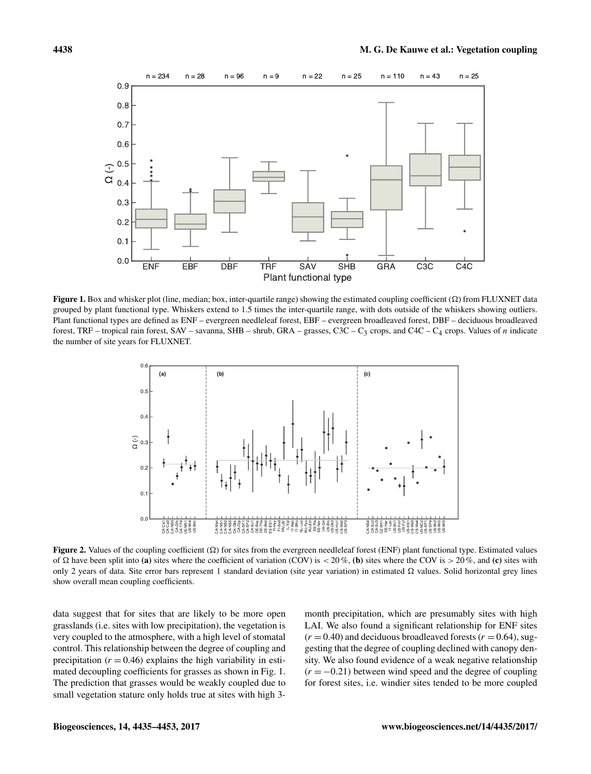

Figure 1. Box and whisker plot (line, median; box, inter-quartile range) showing the estimated coupling coefficient  $(\Omega)$  from FLUXNET data grouped by plant functional type. Whiskers extend to 1.5 times the inter-quartile range, with dots outside of the whiskers showing outliers. Plant functional types are defined as ENF – evergreen needleleaf forest, EBF – evergreen broadleaved forest, DBF – deciduous broadleaved forest, TRF – tropical rain forest, SAV – savanna, SHB – shrub, GRA – grasses, C3C – C<sub>3</sub> crops, and C4C – C<sub>4</sub> crops. Values of *n* indicate the number of site years for FLUXNET.



Figure 2. Values of the coupling coefficient  $(\Omega)$  for sites from the evergreen needleleaf forest (ENF) plant functional type. Estimated values of  $\Omega$  have been split into (a) sites where the coefficient of variation (COV) is  $\lt 20\%$ , (b) sites where the COV is  $\gt 20\%$ , and (c) sites with only 2 years of data. Site error bars represent 1 standard deviation (site year variation) in estimated  $\Omega$  values. Solid horizontal grey lines show overall mean coupling coefficients.

data suggest that for sites that are likely to be more open grasslands (i.e. sites with low precipitation), the vegetation is very coupled to the atmosphere, with a high level of stomatal control. This relationship between the degree of coupling and precipitation ( $r = 0.46$ ) explains the high variability in estimated decoupling coefficients for grasses as shown in Fig. 1. The prediction that grasses would be weakly coupled due to small vegetation stature only holds true at sites with high 3-

month precipitation, which are presumably sites with high LAI. We also found a significant relationship for ENF sites  $(r = 0.40)$  and deciduous broadleaved forests  $(r = 0.64)$ , suggesting that the degree of coupling declined with canopy density. We also found evidence of a weak negative relationship  $(r = -0.21)$  between wind speed and the degree of coupling for forest sites, i.e. windier sites tended to be more coupled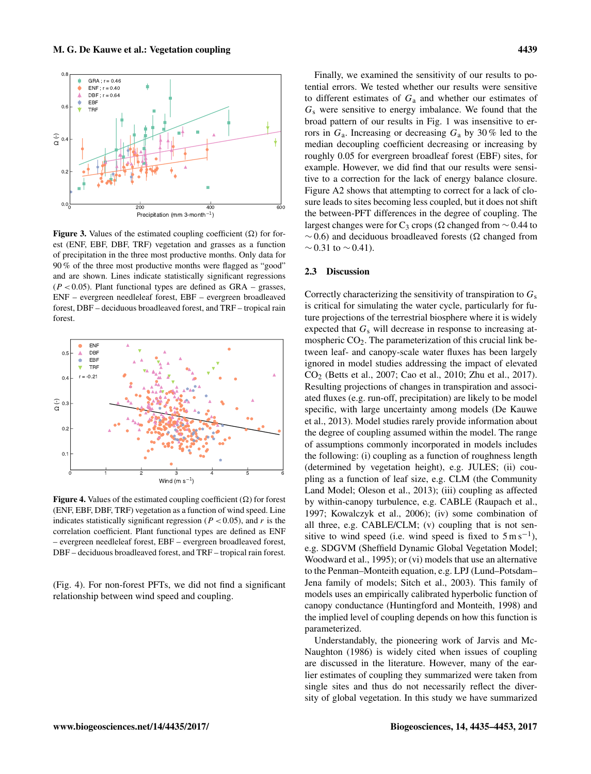

Figure 3. Values of the estimated coupling coefficient  $(\Omega)$  for forest (ENF, EBF, DBF, TRF) vegetation and grasses as a function of precipitation in the three most productive months. Only data for 90 % of the three most productive months were flagged as "good" and are shown. Lines indicate statistically significant regressions  $(P < 0.05)$ . Plant functional types are defined as GRA – grasses, ENF – evergreen needleleaf forest, EBF – evergreen broadleaved forest, DBF – deciduous broadleaved forest, and TRF – tropical rain forest.



Figure 4. Values of the estimated coupling coefficient  $(\Omega)$  for forest (ENF, EBF, DBF, TRF) vegetation as a function of wind speed. Line indicates statistically significant regression ( $P < 0.05$ ), and r is the correlation coefficient. Plant functional types are defined as ENF – evergreen needleleaf forest, EBF – evergreen broadleaved forest, DBF – deciduous broadleaved forest, and TRF – tropical rain forest.

(Fig. 4). For non-forest PFTs, we did not find a significant relationship between wind speed and coupling.

Finally, we examined the sensitivity of our results to potential errors. We tested whether our results were sensitive to different estimates of  $G_a$  and whether our estimates of  $G<sub>s</sub>$  were sensitive to energy imbalance. We found that the broad pattern of our results in Fig. 1 was insensitive to errors in  $G_a$ . Increasing or decreasing  $G_a$  by 30% led to the median decoupling coefficient decreasing or increasing by roughly 0.05 for evergreen broadleaf forest (EBF) sites, for example. However, we did find that our results were sensitive to a correction for the lack of energy balance closure. Figure A2 shows that attempting to correct for a lack of closure leads to sites becoming less coupled, but it does not shift the between-PFT differences in the degree of coupling. The largest changes were for C<sub>3</sub> crops ( $\Omega$  changed from ~ 0.44 to  $~\sim$  0.6) and deciduous broadleaved forests ( $\Omega$  changed from  $\sim$  0.31 to  $\sim$  0.41).

## 2.3 Discussion

Correctly characterizing the sensitivity of transpiration to  $G_s$ is critical for simulating the water cycle, particularly for future projections of the terrestrial biosphere where it is widely expected that  $G_s$  will decrease in response to increasing atmospheric  $CO<sub>2</sub>$ . The parameterization of this crucial link between leaf- and canopy-scale water fluxes has been largely ignored in model studies addressing the impact of elevated CO<sup>2</sup> [\(Betts et al.,](#page-15-2) [2007;](#page-15-2) [Cao et al.,](#page-15-3) [2010;](#page-15-3) [Zhu et al.,](#page-18-0) [2017\)](#page-18-0). Resulting projections of changes in transpiration and associated fluxes (e.g. run-off, precipitation) are likely to be model specific, with large uncertainty among models [\(De Kauwe](#page-15-4) [et al.,](#page-15-4) [2013\)](#page-15-4). Model studies rarely provide information about the degree of coupling assumed within the model. The range of assumptions commonly incorporated in models includes the following: (i) coupling as a function of roughness length (determined by vegetation height), e.g. JULES; (ii) coupling as a function of leaf size, e.g. CLM (the Community Land Model; [Oleson et al.,](#page-17-13) [2013\)](#page-17-13); (iii) coupling as affected by within-canopy turbulence, e.g. CABLE [\(Raupach et al.,](#page-17-14) [1997;](#page-17-14) [Kowalczyk et al.,](#page-16-10) [2006\)](#page-16-10); (iv) some combination of all three, e.g. CABLE/CLM; (v) coupling that is not sensitive to wind speed (i.e. wind speed is fixed to  $5 \text{ m s}^{-1}$ ), e.g. SDGVM (Sheffield Dynamic Global Vegetation Model; [Woodward et al.,](#page-18-5) [1995\)](#page-18-5); or (vi) models that use an alternative to the Penman–Monteith equation, e.g. LPJ (Lund–Potsdam– Jena family of models; [Sitch et al.,](#page-17-15) [2003\)](#page-17-15). This family of models uses an empirically calibrated hyperbolic function of canopy conductance [\(Huntingford and Monteith,](#page-16-11) [1998\)](#page-16-11) and the implied level of coupling depends on how this function is parameterized.

Understandably, the pioneering work of [Jarvis and Mc-](#page-16-1)[Naughton](#page-16-1) [\(1986\)](#page-16-1) is widely cited when issues of coupling are discussed in the literature. However, many of the earlier estimates of coupling they summarized were taken from single sites and thus do not necessarily reflect the diversity of global vegetation. In this study we have summarized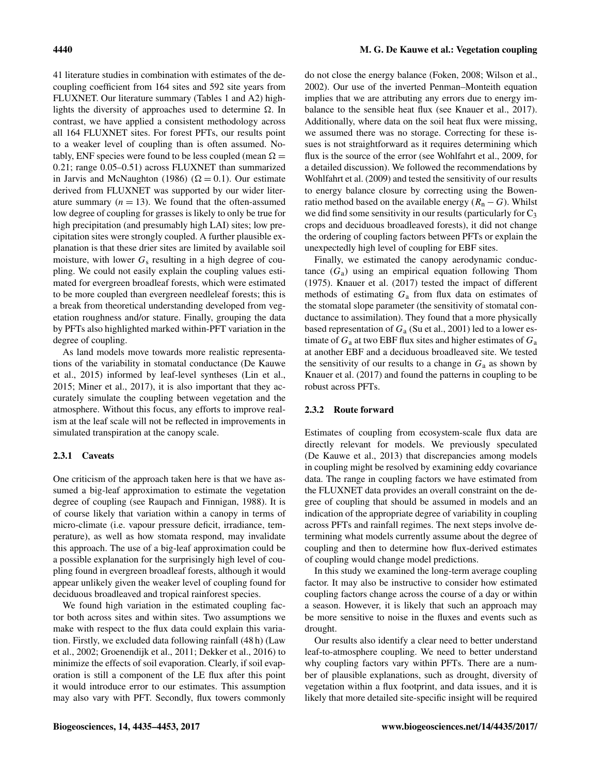41 literature studies in combination with estimates of the decoupling coefficient from 164 sites and 592 site years from FLUXNET. Our literature summary (Tables 1 and A2) highlights the diversity of approaches used to determine  $\Omega$ . In contrast, we have applied a consistent methodology across all 164 FLUXNET sites. For forest PFTs, our results point to a weaker level of coupling than is often assumed. Notably, ENF species were found to be less coupled (mean  $\Omega =$ 0.21; range 0.05–0.51) across FLUXNET than summarized in [Jarvis and McNaughton](#page-16-1) [\(1986\)](#page-16-1) ( $\Omega = 0.1$ ). Our estimate derived from FLUXNET was supported by our wider literature summary  $(n = 13)$ . We found that the often-assumed low degree of coupling for grasses is likely to only be true for high precipitation (and presumably high LAI) sites; low precipitation sites were strongly coupled. A further plausible explanation is that these drier sites are limited by available soil moisture, with lower  $G_s$  resulting in a high degree of coupling. We could not easily explain the coupling values estimated for evergreen broadleaf forests, which were estimated to be more coupled than evergreen needleleaf forests; this is a break from theoretical understanding developed from vegetation roughness and/or stature. Finally, grouping the data by PFTs also highlighted marked within-PFT variation in the degree of coupling.

As land models move towards more realistic representations of the variability in stomatal conductance [\(De Kauwe](#page-15-7) [et al.,](#page-15-7) [2015\)](#page-15-7) informed by leaf-level syntheses [\(Lin et al.,](#page-16-7) [2015;](#page-16-7) [Miner et al.,](#page-17-9) [2017\)](#page-17-9), it is also important that they accurately simulate the coupling between vegetation and the atmosphere. Without this focus, any efforts to improve realism at the leaf scale will not be reflected in improvements in simulated transpiration at the canopy scale.

# 2.3.1 Caveats

One criticism of the approach taken here is that we have assumed a big-leaf approximation to estimate the vegetation degree of coupling (see [Raupach and Finnigan,](#page-17-16) [1988\)](#page-17-16). It is of course likely that variation within a canopy in terms of micro-climate (i.e. vapour pressure deficit, irradiance, temperature), as well as how stomata respond, may invalidate this approach. The use of a big-leaf approximation could be a possible explanation for the surprisingly high level of coupling found in evergreen broadleaf forests, although it would appear unlikely given the weaker level of coupling found for deciduous broadleaved and tropical rainforest species.

We found high variation in the estimated coupling factor both across sites and within sites. Two assumptions we make with respect to the flux data could explain this variation. Firstly, we excluded data following rainfall (48 h) [\(Law](#page-16-9) [et al.,](#page-16-9) [2002;](#page-16-9) [Groenendijk et al.,](#page-15-9) [2011;](#page-15-9) [Dekker et al.,](#page-15-10) [2016\)](#page-15-10) to minimize the effects of soil evaporation. Clearly, if soil evaporation is still a component of the LE flux after this point it would introduce error to our estimates. This assumption may also vary with PFT. Secondly, flux towers commonly do not close the energy balance [\(Foken,](#page-15-11) [2008;](#page-15-11) [Wilson et al.,](#page-18-6) [2002\)](#page-18-6). Our use of the inverted Penman–Monteith equation implies that we are attributing any errors due to energy imbalance to the sensible heat flux (see [Knauer et al.,](#page-16-12) [2017\)](#page-16-12). Additionally, where data on the soil heat flux were missing, we assumed there was no storage. Correcting for these issues is not straightforward as it requires determining which flux is the source of the error (see [Wohlfahrt et al.,](#page-18-4) [2009,](#page-18-4) for a detailed discussion). We followed the recommendations by [Wohlfahrt et al.](#page-18-4) [\(2009\)](#page-18-4) and tested the sensitivity of our results to energy balance closure by correcting using the Bowenratio method based on the available energy ( $R_n - G$ ). Whilst we did find some sensitivity in our results (particularly for  $C_3$ ) crops and deciduous broadleaved forests), it did not change the ordering of coupling factors between PFTs or explain the unexpectedly high level of coupling for EBF sites.

Finally, we estimated the canopy aerodynamic conductance  $(G_a)$  using an empirical equation following [Thom](#page-17-10) [\(1975\)](#page-17-10). [Knauer et al.](#page-16-12) [\(2017\)](#page-16-12) tested the impact of different methods of estimating  $G_a$  from flux data on estimates of the stomatal slope parameter (the sensitivity of stomatal conductance to assimilation). They found that a more physically based representation of  $G_a$  [\(Su et al.,](#page-17-17) [2001\)](#page-17-17) led to a lower estimate of  $G_a$  at two EBF flux sites and higher estimates of  $G_a$ at another EBF and a deciduous broadleaved site. We tested the sensitivity of our results to a change in  $G_a$  as shown by [Knauer et al.](#page-16-12) [\(2017\)](#page-16-12) and found the patterns in coupling to be robust across PFTs.

## 2.3.2 Route forward

Estimates of coupling from ecosystem-scale flux data are directly relevant for models. We previously speculated [\(De Kauwe et al.,](#page-15-4) [2013\)](#page-15-4) that discrepancies among models in coupling might be resolved by examining eddy covariance data. The range in coupling factors we have estimated from the FLUXNET data provides an overall constraint on the degree of coupling that should be assumed in models and an indication of the appropriate degree of variability in coupling across PFTs and rainfall regimes. The next steps involve determining what models currently assume about the degree of coupling and then to determine how flux-derived estimates of coupling would change model predictions.

In this study we examined the long-term average coupling factor. It may also be instructive to consider how estimated coupling factors change across the course of a day or within a season. However, it is likely that such an approach may be more sensitive to noise in the fluxes and events such as drought.

Our results also identify a clear need to better understand leaf-to-atmosphere coupling. We need to better understand why coupling factors vary within PFTs. There are a number of plausible explanations, such as drought, diversity of vegetation within a flux footprint, and data issues, and it is likely that more detailed site-specific insight will be required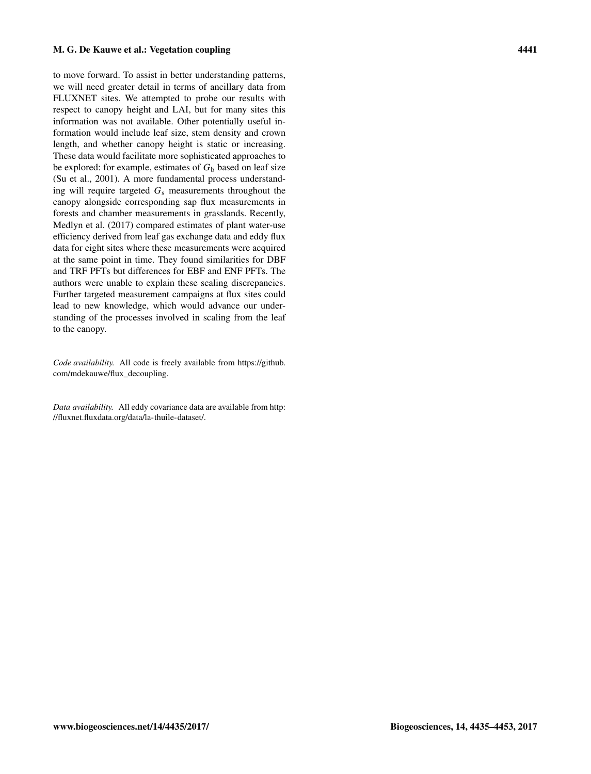to move forward. To assist in better understanding patterns, we will need greater detail in terms of ancillary data from FLUXNET sites. We attempted to probe our results with respect to canopy height and LAI, but for many sites this information was not available. Other potentially useful information would include leaf size, stem density and crown length, and whether canopy height is static or increasing. These data would facilitate more sophisticated approaches to be explored: for example, estimates of  $G<sub>b</sub>$  based on leaf size [\(Su et al.,](#page-17-17) [2001\)](#page-17-17). A more fundamental process understanding will require targeted  $G_s$  measurements throughout the canopy alongside corresponding sap flux measurements in forests and chamber measurements in grasslands. Recently, [Medlyn et al.](#page-17-18) [\(2017\)](#page-17-18) compared estimates of plant water-use efficiency derived from leaf gas exchange data and eddy flux data for eight sites where these measurements were acquired at the same point in time. They found similarities for DBF and TRF PFTs but differences for EBF and ENF PFTs. The authors were unable to explain these scaling discrepancies. Further targeted measurement campaigns at flux sites could lead to new knowledge, which would advance our understanding of the processes involved in scaling from the leaf to the canopy.

*Code availability.* All code is freely available from [https://github.](https://github.com/mdekauwe/flux_decoupling) [com/mdekauwe/flux\\_decoupling.](https://github.com/mdekauwe/flux_decoupling)

*Data availability.* All eddy covariance data are available from [http:](http://fluxnet.fluxdata.org/data/la-thuile-dataset/) [//fluxnet.fluxdata.org/data/la-thuile-dataset/.](http://fluxnet.fluxdata.org/data/la-thuile-dataset/)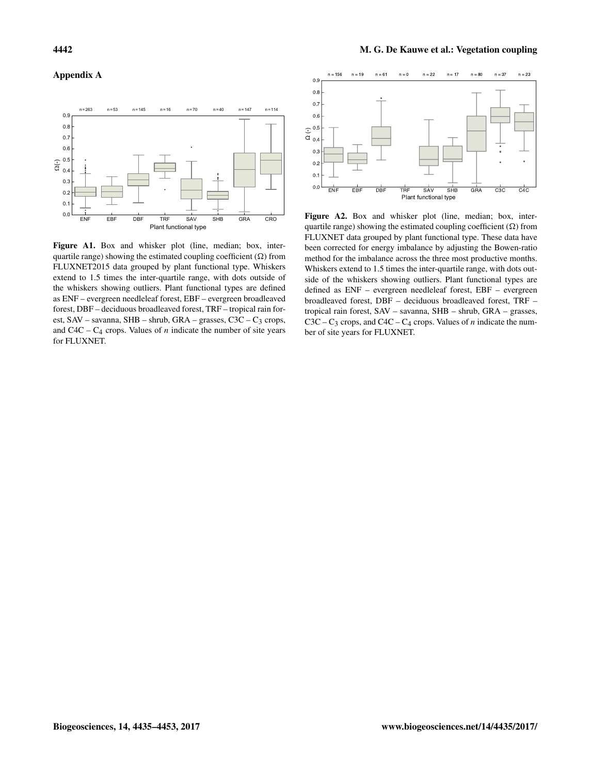## Appendix A



Figure A1. Box and whisker plot (line, median; box, interquartile range) showing the estimated coupling coefficient  $(\Omega)$  from FLUXNET2015 data grouped by plant functional type. Whiskers extend to 1.5 times the inter-quartile range, with dots outside of the whiskers showing outliers. Plant functional types are defined as ENF – evergreen needleleaf forest, EBF – evergreen broadleaved forest, DBF – deciduous broadleaved forest, TRF – tropical rain forest, SAV – savanna, SHB – shrub, GRA – grasses, C3C –  $C_3$  crops, and  $C4C - C_4$  crops. Values of *n* indicate the number of site years for FLUXNET.



Figure A2. Box and whisker plot (line, median; box, interquartile range) showing the estimated coupling coefficient  $(\Omega)$  from FLUXNET data grouped by plant functional type. These data have been corrected for energy imbalance by adjusting the Bowen-ratio method for the imbalance across the three most productive months. Whiskers extend to 1.5 times the inter-quartile range, with dots outside of the whiskers showing outliers. Plant functional types are defined as ENF – evergreen needleleaf forest, EBF – evergreen broadleaved forest, DBF – deciduous broadleaved forest, TRF – tropical rain forest, SAV – savanna, SHB – shrub, GRA – grasses,  $C3C - C_3$  crops, and  $C4C - C_4$  crops. Values of *n* indicate the number of site years for FLUXNET.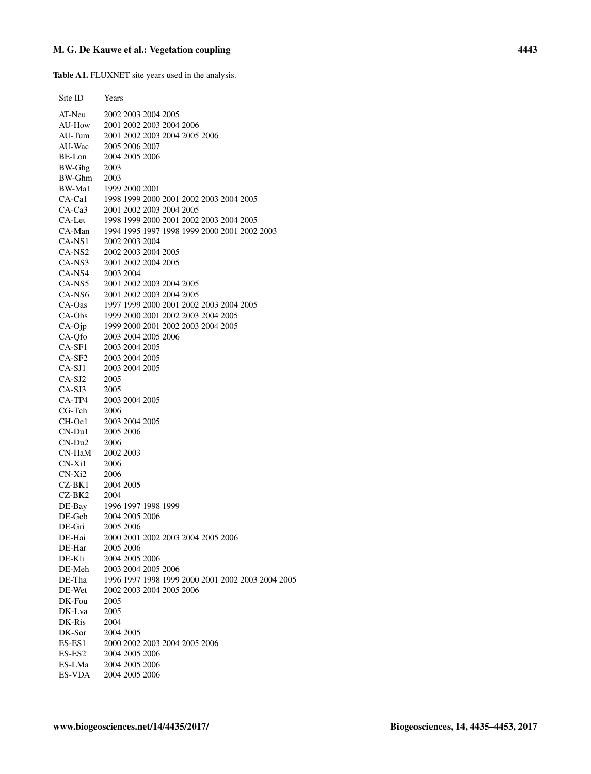Table A1. FLUXNET site years used in the analysis.

 $\overline{a}$ 

| Site ID          | Years                                             |
|------------------|---------------------------------------------------|
| AT-Neu           | 2002 2003 2004 2005                               |
| AU-How           | 2001 2002 2003 2004 2006                          |
| AU-Tum           | 2001 2002 2003 2004 2005 2006                     |
| AU-Wac           | 2005 2006 2007                                    |
| BE-Lon           | 2004 2005 2006                                    |
| BW-Ghg           | 2003                                              |
| BW-Ghm           | 2003                                              |
| BW-Ma1           | 1999 2000 2001                                    |
| CA-Ca1           | 1998 1999 2000 2001 2002 2003 2004 2005           |
| CA-Ca3           | 2001 2002 2003 2004 2005                          |
| CA-Let           | 1998 1999 2000 2001 2002 2003 2004 2005           |
| CA-Man           | 1994 1995 1997 1998 1999 2000 2001 2002 2003      |
| CA-NS1           | 2002 2003 2004                                    |
| CA-NS2           | 2002 2003 2004 2005                               |
| CA-NS3           | 2001 2002 2004 2005                               |
| CA-NS4           | 2003 2004                                         |
| CA-NS5           | 2001 2002 2003 2004 2005                          |
| CA-NS6           | 2001 2002 2003 2004 2005                          |
| CA-Oas           | 1997 1999 2000 2001 2002 2003 2004 2005           |
| CA-Obs           | 1999 2000 2001 2002 2003 2004 2005                |
| $CA-Oip$         | 1999 2000 2001 2002 2003 2004 2005                |
| CA-Ofo           | 2003 2004 2005 2006                               |
| CA-SF1           | 2003 2004 2005                                    |
| CA-SF2           | 2003 2004 2005                                    |
| CA-SJ1           | 2003 2004 2005                                    |
| $CA-SJ2$         | 2005                                              |
| CA-SJ3           | 2005                                              |
| CA-TP4           | 2003 2004 2005                                    |
| CG-Tch           | 2006                                              |
| CH-Oe1           | 2003 2004 2005                                    |
| $CN-Du1$         | 2005 2006                                         |
| $CN-Du2$         | 2006                                              |
| CN-HaM           | 2002 2003                                         |
| CN-Xi1           | 2006                                              |
| CN-Xi2           | 2006                                              |
| CZ-BK1           | 2004 2005                                         |
| CZ-BK2           | 2004                                              |
|                  | DE-Bay 1996 1997 1998 1999                        |
| DE-Geb           | 2004 2005 2006                                    |
| DE-Gri           | 2005 2006<br>2000 2001 2002 2003 2004 2005 2006   |
| DE-Hai<br>DE-Har | 2005 2006                                         |
| DE-Kli           | 2004 2005 2006                                    |
| DE-Meh           | 2003 2004 2005 2006                               |
| DE-Tha           | 1996 1997 1998 1999 2000 2001 2002 2003 2004 2005 |
| DE-Wet           | 2002 2003 2004 2005 2006                          |
| DK-Fou           | 2005                                              |
| DK-Lva           | 2005                                              |
| DK-Ris           | 2004                                              |
| DK-Sor           | 2004 2005                                         |
| $ES-ES1$         | 2000 2002 2003 2004 2005 2006                     |
| ES-ES2           | 2004 2005 2006                                    |
| ES-LMa           | 2004 2005 2006                                    |
| ES-VDA           | 2004 2005 2006                                    |
|                  |                                                   |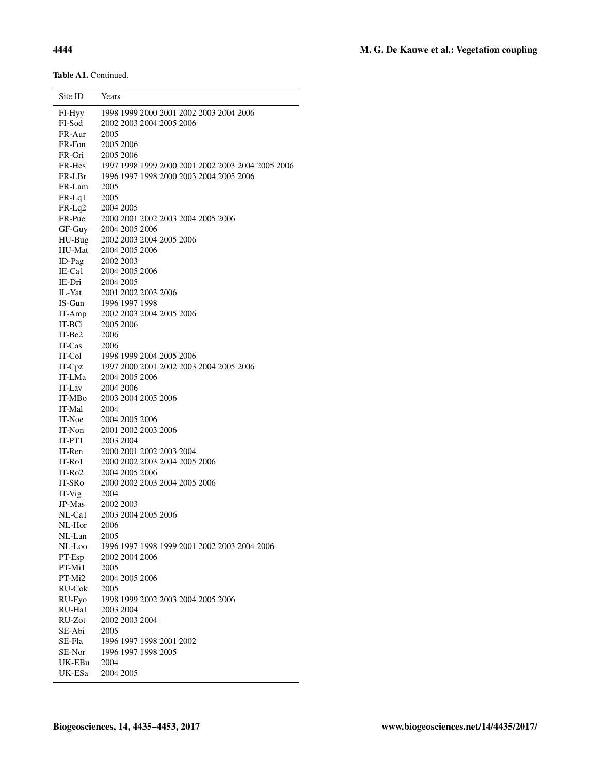Table A1. Continued.

| Site ID          | Years                                                                                                         |
|------------------|---------------------------------------------------------------------------------------------------------------|
| FI-Hyy<br>FI-Sod | 1998 1999 2000 2001 2002 2003 2004 2006                                                                       |
|                  | 2002 2003 2004 2005 2006                                                                                      |
| FR-Aur           | 2005                                                                                                          |
| FR-Fon           | 2005 2006                                                                                                     |
| FR-Gri           | 2005 2006                                                                                                     |
|                  |                                                                                                               |
|                  | FR-Hes 1997 1998 1999 2000 2001 2002 2003 2004 2005 2006<br>FR-LBr 1996 1997 1998 2000 2003 2004 2005 2006    |
| $FR-Lam$         | 2005                                                                                                          |
| $FR-Lq1$         | 2005                                                                                                          |
| FR-Lq2 2004 2005 |                                                                                                               |
| FR-Pue           | 2000 2001 2002 2003 2004 2005 2006                                                                            |
|                  |                                                                                                               |
|                  | GF-Guy 2004 2005 2006<br>HU-Bug 2002 2003 2004<br>2002 2003 2004 2005 2006                                    |
| HU-Mat           | 2004 2005 2006                                                                                                |
| ID-Pag           | 2002 2003                                                                                                     |
| IE-Ca1           | 2004 2005 2006                                                                                                |
| IE-Dri 2004 2005 |                                                                                                               |
|                  |                                                                                                               |
|                  | IL-Yat 2001 2002 2003 2006<br>IS-Gun 1996 1997 1998                                                           |
|                  | IT-Amp 2002 2003 2004 2005 2006                                                                               |
| IT-BCi           | 2005 2006                                                                                                     |
| $IT-Be2$         | 2006                                                                                                          |
| $IT-Cas$ 2006    |                                                                                                               |
|                  |                                                                                                               |
|                  | IT-Col 1998 1999 2004 2005 2006<br>IT-Cpz 1997 2000 2001 2002 2003<br>1997 2000 2001 2002 2003 2004 2005 2006 |
| IT-LMa           | 2004 2005 2006                                                                                                |
| IT-Lav           | 2004 2006                                                                                                     |
| IT-MBo           | 2003 2004 2005 2006                                                                                           |
| IT-Mal           | 2004                                                                                                          |
| IT-Noe           | 2004 2005 2006                                                                                                |
| IT-Non           | 2001 2002 2003 2006                                                                                           |
| $IT-PT1$         | 2003 2004                                                                                                     |
| IT-Ren           | 2000 2001 2002 2003 2004                                                                                      |
| IT-Ro1           | 2000 2002 2003 2004 2005 2006                                                                                 |
| $IT-Ro2$         | 2004 2005 2006                                                                                                |
| IT-SR0           | 2000 2002 2003 2004 2005 2006                                                                                 |
| IT-Vig           | 2004                                                                                                          |
| JP-Mas 2002 2003 |                                                                                                               |
| NL-Cal           | 2003 2004 2005 2006                                                                                           |
| NL-Hor           | 2006                                                                                                          |
| NL-Lan           | 2005                                                                                                          |
| NL-Loo           | 1996 1997 1998 1999 2001 2002 2003 2004 2006                                                                  |
| $PT-Esp$         | 2002 2004 2006                                                                                                |
| PT-Mi1           | 2005                                                                                                          |
| PT-Mi2           | 2004 2005 2006                                                                                                |
| RU-Cok           | 2005                                                                                                          |
| RU-Fyo           | 1998 1999 2002 2003 2004 2005 2006                                                                            |
| RU-Ha1           | 2003 2004                                                                                                     |
| RU-Zot           | 2002 2003 2004                                                                                                |
| SE-Abi           | 2005                                                                                                          |
| SE-Fla           | 1996 1997 1998 2001 2002                                                                                      |
| SE-Nor           | 1996 1997 1998 2005                                                                                           |
| UK-EBu           | 2004                                                                                                          |
| UK-ESa           | 2004 2005                                                                                                     |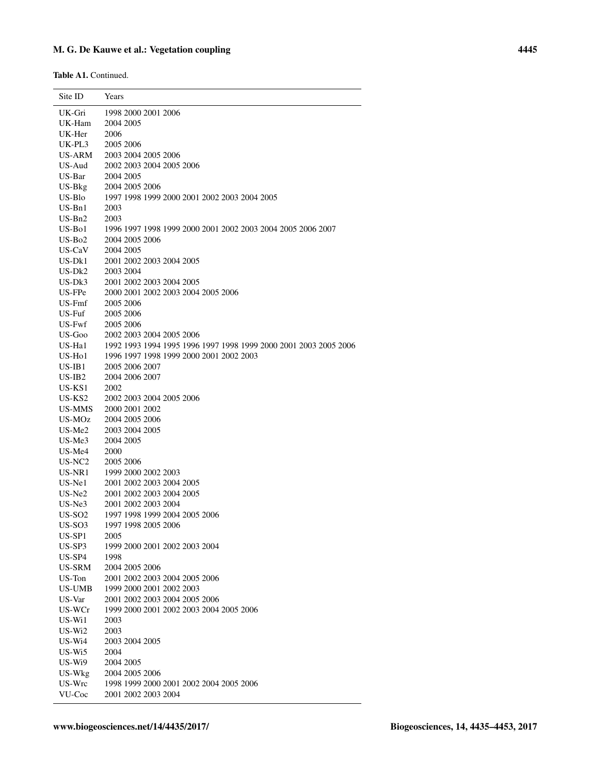Table A1. Continued.

| Site ID            | Years                                                            |
|--------------------|------------------------------------------------------------------|
| UK-Gri             | 1998 2000 2001 2006                                              |
| UK-Ham             | 2004 2005                                                        |
| UK-Her             | 2006                                                             |
| UK-PL3             | 2005 2006                                                        |
| US-ARM             | 2003 2004 2005 2006                                              |
| US-Aud             | 2002 2003 2004 2005 2006                                         |
| US-Bar             | 2004 2005                                                        |
| $US-Bkg$           | 2004 2005 2006                                                   |
| US-Blo             | 1997 1998 1999 2000 2001 2002 2003 2004 2005                     |
| $US-Bn1$           | 2003                                                             |
| $US-Bn2$           | 2003                                                             |
| US-Bol             | 1996 1997 1998 1999 2000 2001 2002 2003 2004 2005 2006 2007      |
| $US-Bo2$           | 2004 2005 2006                                                   |
| US-CaV             | 2004 2005                                                        |
| US-Dk1             | 2001 2002 2003 2004 2005                                         |
| $US-Dk2$           | 2003 2004                                                        |
| US-Dk3             | 2001 2002 2003 2004 2005                                         |
| US-FPe             | 2000 2001 2002 2003 2004 2005 2006                               |
| US-Fmf             | 2005 2006                                                        |
| US-Fuf             | 2005 2006                                                        |
| US-Fwf             | 2005 2006                                                        |
| US-Goo             | 2002 2003 2004 2005 2006                                         |
| US-Hal             | 1992 1993 1994 1995 1996 1997 1998 1999 2000 2001 2003 2005 2006 |
| $US-Ho1$           | 1996 1997 1998 1999 2000 2001 2002 2003                          |
| US-IB1             | 2005 2006 2007                                                   |
| $US-IB2$           | 2004 2006 2007                                                   |
| US-KS1             | 2002                                                             |
| US-KS <sub>2</sub> | 2002 2003 2004 2005 2006                                         |
| US-MMS<br>US-MOz   | 2000 2001 2002<br>2004 2005 2006                                 |
| US-Me2             | 2003 2004 2005                                                   |
| $US-Me3$           | 2004 2005                                                        |
| US-Me4             | 2000                                                             |
| US-NC <sub>2</sub> | 2005 2006                                                        |
| US-NR1             | 1999 2000 2002 2003                                              |
| $US-Ne1$           | 2001 2002 2003 2004 2005                                         |
| $US-Ne2$           | 2001 2002 2003 2004 2005                                         |
| $US-Ne3$           | 2001 2002 2003 2004                                              |
| US-SO <sub>2</sub> | 1997 1998 1999 2004 2005 2006                                    |
| US-SO <sub>3</sub> | 1997 1998 2005 2006                                              |
| US-SP1             | 2005                                                             |
| US-SP3             | 1999 2000 2001 2002 2003 2004                                    |
| US-SP4             | 1998                                                             |
| US-SRM             | 2004 2005 2006                                                   |
| US-Ton             | 2001 2002 2003 2004 2005 2006                                    |
| <b>US-UMB</b>      | 1999 2000 2001 2002 2003                                         |
| US-Var             | 2001 2002 2003 2004 2005 2006                                    |
| US-WCr             | 1999 2000 2001 2002 2003 2004 2005 2006                          |
| $US-Wi1$           | 2003                                                             |
| $US-Wi2$           | 2003                                                             |
| $US-Wi4$           | 2003 2004 2005                                                   |
| US-Wi5             | 2004                                                             |
| $US-Wi9$           | 2004 2005                                                        |
| US-Wkg             | 2004 2005 2006                                                   |
| US-Wrc             | 1998 1999 2000 2001 2002 2004 2005 2006                          |
| VU-Coc             | 2001 2002 2003 2004                                              |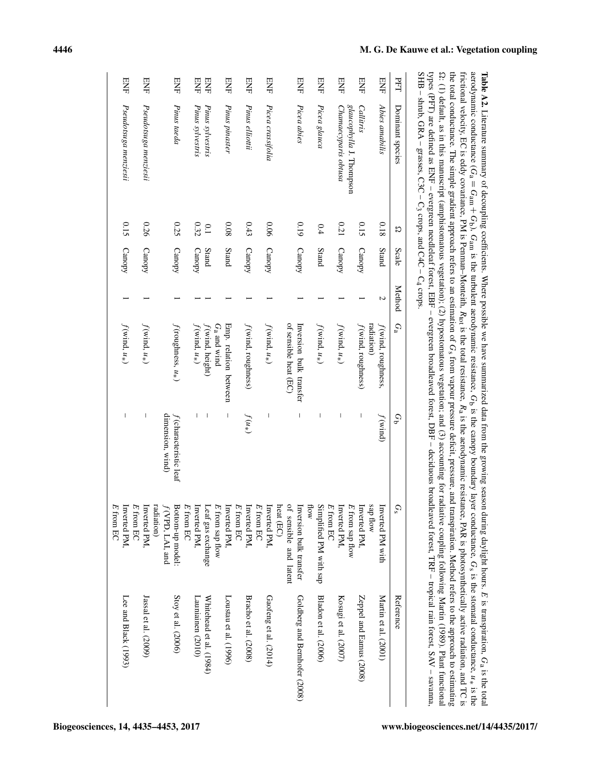| PFT        | Dominant species         | స    | Scale  | Method | $G_a$                              | Ğ                                                                                                                                                                                                                                                                                                                                                                                | $G_{\rm s}$               | Reference                    |
|------------|--------------------------|------|--------|--------|------------------------------------|----------------------------------------------------------------------------------------------------------------------------------------------------------------------------------------------------------------------------------------------------------------------------------------------------------------------------------------------------------------------------------|---------------------------|------------------------------|
| ENE        | Abies amabilis           | 0.18 | Stand  | Z      | f (wind, roughness,                | $f(\text{wind})$                                                                                                                                                                                                                                                                                                                                                                 | Inverted PM with          | Martin et al. (2001)         |
|            |                          |      |        |        | radiation)                         |                                                                                                                                                                                                                                                                                                                                                                                  | sap flow                  |                              |
| ENE        | Callitris                | 0.15 | Canopy |        | $f(\text{wind}, \text{roughness})$ | I                                                                                                                                                                                                                                                                                                                                                                                | Inverted PM.              | Zeppel and Eamus (2008)      |
|            | glaucophylla J. Thompson |      |        |        |                                    |                                                                                                                                                                                                                                                                                                                                                                                  | $E$ from sap flow         |                              |
| ENE        | Chamaecyparis obtusa     | 0.21 | Canopy |        | $f(\text{wind}, u_*)$              | I                                                                                                                                                                                                                                                                                                                                                                                | Inverted PM,              | Kosugi et al. (2007)         |
|            |                          |      |        |        |                                    |                                                                                                                                                                                                                                                                                                                                                                                  | $E$ from EC               |                              |
| <b>ENE</b> | Picea glauca             | 0.4  | Stand  |        | $f(\text{wind}, u_*)$              | I                                                                                                                                                                                                                                                                                                                                                                                | Simplified PM with sap    | Bladon et al. (2006)         |
|            |                          |      |        |        |                                    |                                                                                                                                                                                                                                                                                                                                                                                  | How                       |                              |
| 呂          | Picea abies              | 0.19 | Canopy |        | Inversion bulk transfer            | $\begin{array}{c} \rule{0pt}{2.5ex} \rule{0pt}{2.5ex} \rule{0pt}{2.5ex} \rule{0pt}{2.5ex} \rule{0pt}{2.5ex} \rule{0pt}{2.5ex} \rule{0pt}{2.5ex} \rule{0pt}{2.5ex} \rule{0pt}{2.5ex} \rule{0pt}{2.5ex} \rule{0pt}{2.5ex} \rule{0pt}{2.5ex} \rule{0pt}{2.5ex} \rule{0pt}{2.5ex} \rule{0pt}{2.5ex} \rule{0pt}{2.5ex} \rule{0pt}{2.5ex} \rule{0pt}{2.5ex} \rule{0pt}{2.5ex} \rule{0$ | Inversion bulk transfer   | Goldberg and Bernhofer (2008 |
|            |                          |      |        |        | of sensible heat (EC)              |                                                                                                                                                                                                                                                                                                                                                                                  | of sensible and latent    |                              |
|            |                          |      |        |        |                                    |                                                                                                                                                                                                                                                                                                                                                                                  | heat (EC)                 |                              |
| ENE        | Picea crassifolia        | 0.06 | Canopy |        | $f(\text{wind}, u_*)$              | $\overline{\phantom{a}}$                                                                                                                                                                                                                                                                                                                                                         | Inverted PM.              | Gaofeng et al. (2014)        |
|            |                          |      |        |        |                                    |                                                                                                                                                                                                                                                                                                                                                                                  | $E$ from EC               |                              |
| ENE        | Pinus elliottii          | 0.43 | Canopy |        | $f(\text{wind}, \text{roughness})$ | $f(u_*)$                                                                                                                                                                                                                                                                                                                                                                         | Inverted PM,              | Bracho et al. (2008)         |
|            |                          |      |        |        |                                    |                                                                                                                                                                                                                                                                                                                                                                                  | $E$ from EC               |                              |
| ENE        | Pinus pinaster           | 80.0 | Stand  |        | Emp. relation between              | I                                                                                                                                                                                                                                                                                                                                                                                | Inverted PM,              | Loustau et al. (1996)        |
|            |                          |      |        |        | $G_{\rm a}$ and wind               |                                                                                                                                                                                                                                                                                                                                                                                  | $E$ from sap flow         |                              |
| ENE        | Pinus sylvestris         | 0.1  | Stand  |        | f (wind, height)                   | I                                                                                                                                                                                                                                                                                                                                                                                | Leaf gas exchange         | Whitehead et al. (1984)      |
| ENF        | Pinus sylvestris         | 0.32 | Canopy |        | $f(\text{wind}, u_*)$              |                                                                                                                                                                                                                                                                                                                                                                                  | Inverted PM,              | Launiainen (2010)            |
|            |                          |      |        |        |                                    |                                                                                                                                                                                                                                                                                                                                                                                  | $E$ from EC               |                              |
| <b>ENE</b> | Pinus taeda              | 0.25 | Canopy |        | $f$ (roughness, $u_*)$ )           | $f$ (characteristic leaf                                                                                                                                                                                                                                                                                                                                                         | Bottom-up model:          | Stoy et al. (2006)           |
|            |                          |      |        |        |                                    | dimension, wind)                                                                                                                                                                                                                                                                                                                                                                 | f(VPD, LAI, and           |                              |
|            |                          |      |        |        |                                    |                                                                                                                                                                                                                                                                                                                                                                                  | radiation)                |                              |
| ENE        | Pseudotsuga menziesii    | 0.26 | Canopy |        | $f(\text{wind}, u_*)$              | $\overline{\phantom{a}}$                                                                                                                                                                                                                                                                                                                                                         | E from EC<br>Inverted PM, | $Jassal$ et al. $(2009)$     |
| ENE        | Pseudotsuga menziesii    | 0.15 | Canopy |        | $f(\text{wind}, u_*)$              | I                                                                                                                                                                                                                                                                                                                                                                                | Inverted PM,              | Lee and Black (1993)         |
|            |                          |      |        |        |                                    |                                                                                                                                                                                                                                                                                                                                                                                  | $E$ from EC               |                              |

Table A2. Literature summary of decoupling coefficients. Where possible we have summarized data from the growing season during daylight hours. E is transpiration, Ga is the total aerodynamic conductance (  $G_{\rm a} =$ Gam + Gb), Gam is the turbulent aerodynamic resistance, G is the canopy boundary layer conductance, م<br>S is the stomatal conductance, u∗ is the frictional velocity, EC is eddy covariance, PM is Penman–Monteith, Rtot is the total resistance,  $K_{\rm a}$ is the aerodynamic resistance, PAR is photosynthetically active radiation, and TC is the total conductance. The simple gradient approach refers to an estimation of م<br>S from vapour pressure deficit, pressure, and transpiration. Method refers to the approach to estimating K : (1) default, as in this manuscript (amphistomatous vegetation); (2) hypostomatous vegetation; and (3) accounting for radiative coupling following [Martin](#page-16-8) [\(1989\)](#page-16-8). Plant functional types (PFT) are defined as ENF – evergreen needleleaf forest, EBF – evergreen broadleaved forest, DBF – deciduous broadleaved forest, TRF – tropical rain forest, SAV – savanna,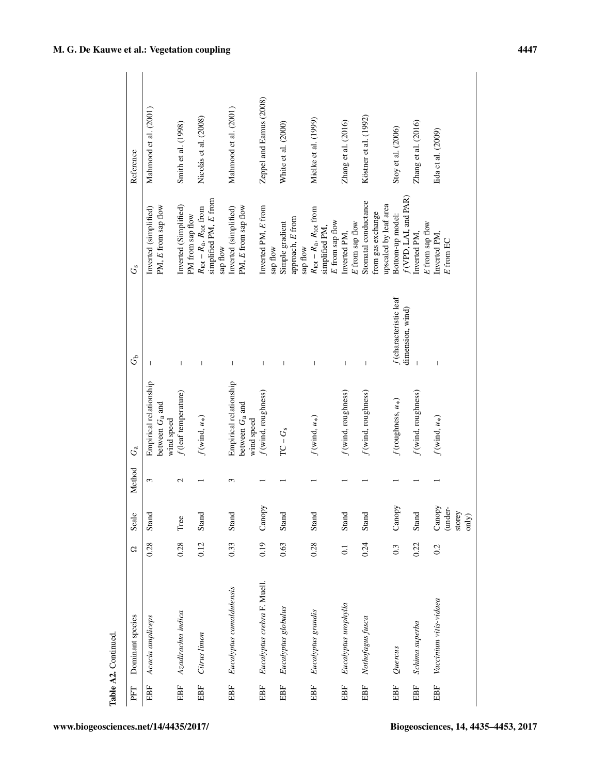|     | Table A2. Continued         |                  |                                      |               |                                                           |                                              |                                                                                                |                         |
|-----|-----------------------------|------------------|--------------------------------------|---------------|-----------------------------------------------------------|----------------------------------------------|------------------------------------------------------------------------------------------------|-------------------------|
| PFT | Dominant species            | G                | Scale                                | Method        | $G_{\rm a}$                                               | G                                            | Ġs                                                                                             | Reference               |
| EBF | Acacia ampliceps            | 0.28             | Stand                                | 3             | Empirical relationship<br>between $G_a$ and<br>wind speed | $\mathbf{I}$                                 | PM, E from sap flow<br>Inverted (simplified)                                                   | Mahmood et al. (2001)   |
| EBF | Azadirachta indica          | 0.28             | Tree                                 | $\mathcal{L}$ | $f$ (leaf temperature)                                    | I                                            | Inverted (Simplified)<br>PM from sap flow                                                      | Smith et al. (1998)     |
| EBF | Citrus limon                | 0.12             | Stand                                |               | $f(\mathrm{wind},\,u_*)$                                  | $\begin{array}{c} \end{array}$               | simplified PM, E from<br>$R_{\text{tot}} - R_{\text{a}}$ , $R_{\text{tot}}$ from<br>sap flow   | Nicolás et al. (2008)   |
| EBF | Eucalyptus camaldulensis    | 0.33             | Stand                                | 3             | Empirical relationship<br>between $G_a$ and<br>wind speed | $\mathbf{I}$                                 | PM, E from sap flow<br>Inverted (simplified)                                                   | Mahmood et al. (2001)   |
| EBF | Eucalyptus crebra F. Muell. | 0.19             | Canopy                               |               | $f$ (wind, roughness)                                     | I                                            | Inverted PM, E from<br>sap flow                                                                | Zeppel and Eamus (2008) |
| EBF | Eucalyptus globulus         | 0.63             | Stand                                |               | $\protect\operatorname{TC} - G_{\mathrm{s}}$              | $\overline{\phantom{a}}$                     | approach, E from<br>Simple gradient<br>sap flow                                                | White et al. (2000)     |
| EBF | Eucalyptus grandis          | 0.28             | Stand                                |               | $f(\mathrm{wind},\,u_*)$                                  | $\begin{array}{c} \end{array}$               | $R_{\text{tot}}$ – $R_{\text{a}}$ , $R_{\text{tot}}$ from<br>E from sap flow<br>simplified PM, | Mielke et al. (1999)    |
| EBF | Eucalyptus urophylla        | $\overline{0}$ . | Stand                                |               | f(wind, roughness)                                        | $\mathsf I$                                  | $E$ from sap flow<br>Inverted PM,                                                              | Zhang et al. (2016)     |
| EBF | Nothofagus fusca            | 0.24             | Stand                                |               | f(wind, roughness)                                        | $\overline{\phantom{a}}$                     | Stomatal conductance<br>upscaled by leaf area<br>from gas exchange                             | Köstner et al. (1992)   |
| EBF | Quercus                     | 0.3              | Canopy                               |               | $f$ (roughness, $u_*$ )                                   | $f$ (characteristic leaf<br>dimension, wind) | f(VPD, LAI, and PAR)<br>Bottom-up model:                                                       | Stoy et al. (2006)      |
| EBF | Schima superba              | 0.22             | Stand                                |               | f(wind, roughness)                                        |                                              | E from sap flow<br>inverted PM,                                                                | Zhang et al. (2016)     |
| EBF | Vaccinium vitis-vidaea      | 0.2              | Canopy<br>(under-<br>storey<br>only) |               | $f(\mathrm{wind},\,u_*)$                                  | $\overline{1}$                               | Inverted PM,<br>$E$ from EC                                                                    | lida et al. (2009)      |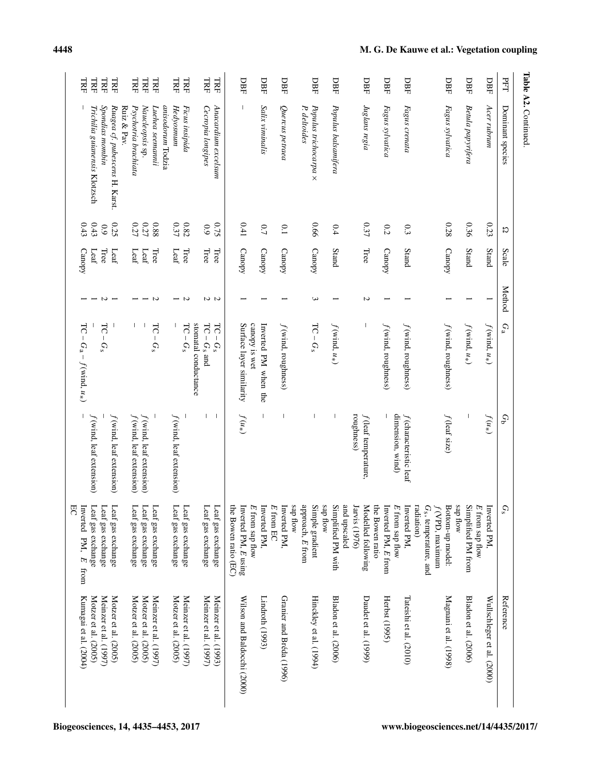| TRF<br>LRF                              |                       |                                         |                                         | LRF                                     | LRF  | <b>TRE</b>              |                   | <b>TRF</b>                              | <b>TRF</b>            |                      | <b>TRF</b>            | TRF                   |                      | DBF                         |                   | DBF                      |             | DBF                      |                               | DBF                    |          | DBF                                   |               | DBF                    |                 | DBF                                |                   | DBF                                |            |                                   |                 | DBF                                |          | DBF                   |                   | DBF                        | FГ               |                      |
|-----------------------------------------|-----------------------|-----------------------------------------|-----------------------------------------|-----------------------------------------|------|-------------------------|-------------------|-----------------------------------------|-----------------------|----------------------|-----------------------|-----------------------|----------------------|-----------------------------|-------------------|--------------------------|-------------|--------------------------|-------------------------------|------------------------|----------|---------------------------------------|---------------|------------------------|-----------------|------------------------------------|-------------------|------------------------------------|------------|-----------------------------------|-----------------|------------------------------------|----------|-----------------------|-------------------|----------------------------|------------------|----------------------|
| Trichilia guianensis Klotzsch           | Spondias mombin       | Ruagea cf. pubescens H. Karst.          | Ruiz & Pav.<br>Psychotria brachiata     | Naucleopsis sp.                         |      | Luehea seemannii        | anisodorum Todzia | Hedyosmum                               | Ficus insipida        |                      | Cecropia longipes     | Anacardium excelsum   |                      |                             |                   | Salix viminalis          |             | Quercus petraea          | P. deltoides                  | Populus trichocarpa ×  |          | Populus balsamifera                   |               | Juglans regia          |                 | Fagus sylvatica                    |                   | Fagus crenata                      |            |                                   |                 | Fagus sylvatica                    |          | Betula papyrifera     |                   | Асет ньпит                 | Dominant species | Table A2. Continued. |
| 0.43<br>0.43                            | 6.9                   | 0.25                                    |                                         | 0.27                                    | 0.27 | 88.0                    |                   | 0.37                                    | $0.82\,$              |                      | 6.9                   | 0.75                  |                      | 0.41                        |                   | 0.7                      |             | $\overline{0}$           |                               | 990                    |          | 0.4                                   |               | 0.37                   |                 | 0.2                                |                   | 0.3                                |            |                                   |                 | 0.28                               |          | 0.36                  |                   | 0.23                       | K                |                      |
| Leaf                                    | Tree                  | Leaf                                    |                                         | Leaf<br>$\text{Leaf}$                   |      | Tree                    |                   | Leaf                                    | Tree                  |                      | Tree                  | Tree                  |                      | Canopy                      |                   | Canopy                   |             | Canopy                   |                               | Canopy                 |          | Stand                                 |               | Tree                   |                 | Canopy                             |                   | Stand                              |            |                                   |                 | Canopy                             |          | Stand                 |                   | Stand                      | Scale            |                      |
|                                         | N                     |                                         |                                         |                                         |      | Z                       |                   |                                         | Z                     |                      | 2 U                   |                       |                      |                             |                   |                          |             |                          |                               | ω                      |          |                                       |               | Z                      |                 |                                    |                   |                                    |            |                                   |                 |                                    |          |                       |                   |                            | Method           |                      |
| $TC - G_a - f(wind, u*)$                | $TC -$<br>$G_{\rm s}$ |                                         |                                         | I.                                      |      | <b>HC</b><br>$-G_s$     |                   |                                         | $TC-Gs$               | stomatal conductance | $TC - G_s$ and        | 55<br>$-G_s$          |                      | Surface layer similarity    | canopy is wet     | Inverted PM when the     |             | $f$ (wind, roughness)    |                               | $TC - G_s$             |          | $f(\text{wind}, u_*)$                 |               |                        |                 | $f(\text{wind}, \text{roughness})$ |                   | $f(\text{wind}, \text{roughness})$ |            |                                   |                 | $f(\text{wind}, \text{roughness})$ |          | $f(\text{wind}, u_*)$ |                   | $f(\text{wind}, u_*)$      | $G_a$            |                      |
| $f(\text{wind}, \text{leaf extension})$ |                       | $f(\text{wind}, \text{leaf extension})$ | $f(\text{wind}, \text{leaf extension})$ | $f(\text{wind}, \text{leaf extension})$ |      |                         |                   | $f(\text{wind}, \text{leaf extension})$ |                       |                      | L                     | $\mathbf{I}$          |                      | $f(u*)$                     |                   | $\overline{\phantom{a}}$ |             | I                        |                               |                        |          | $\begin{array}{c} \hline \end{array}$ | roughness)    | $f$ (leaf temperature, |                 |                                    | dimension, wind)  | f (characteristic leaf             |            |                                   |                 | f (leaf size)                      |          |                       |                   | $f(u_*)$                   | $G_{\mathsf{D}}$ |                      |
| Leaf gas exchange                       | Leaf gas exchange     | Leaf gas exchange                       | Leaf gas exchange                       | Leaf gas exchange                       |      | Leaf gas exchange       |                   | Leaf gas exchange                       | Leaf gas exchange     |                      | Leaf gas exchange     | Leaf gas exchange     | the Bowen ratio (EC) | Inverted PM, E using        | $E$ from sap flow | Inverted PM,             | $E$ from EC | Inverted PM,             | wop des<br>approach, $E$ from | Simple gradient        | sap flow | Simplified PM with<br>and upscaled    | Jarvis (1976) | Modelled following     | the Bowen ratio | Inverted PM, E from                | $E$ from sap flow | Inverted PM,                       | radiation) | G <sub>s</sub> , temperature, and | f(VPD, maximum) | Bottom-up model:                   | sap flow | Simplified PM from    | $E$ from sap flow | Inverted PM,               | $G_{\rm s}$      |                      |
| Motzer et al. (2005)                    | Meinzer et al. (1997) | Motzer et al. (2005)                    | Motzer et al. (2005)                    | Motzer et al. (2005)                    |      | Meinzer et al. $(1997)$ |                   | Motzer et al. (2005)                    | Meinzer et al. (1997) |                      | Meinzer et al. (1997) | Meinzer et al. (1993) |                      | Wilson and Baldocchi (2000) |                   | Lindroth (1993)          |             | Granier and Bréda (1996) |                               | Hinckley et al. (1994) |          | Bladon et al. (2006)                  |               | Daudet et al. (1999)   |                 | Herbst (1995)                      |                   | Tateishi et al. (2010)             |            |                                   |                 | Magnani et al. (1998)              |          | Bladon et al. (2006)  |                   | Wullschleger et al. (2000) | Reference        |                      |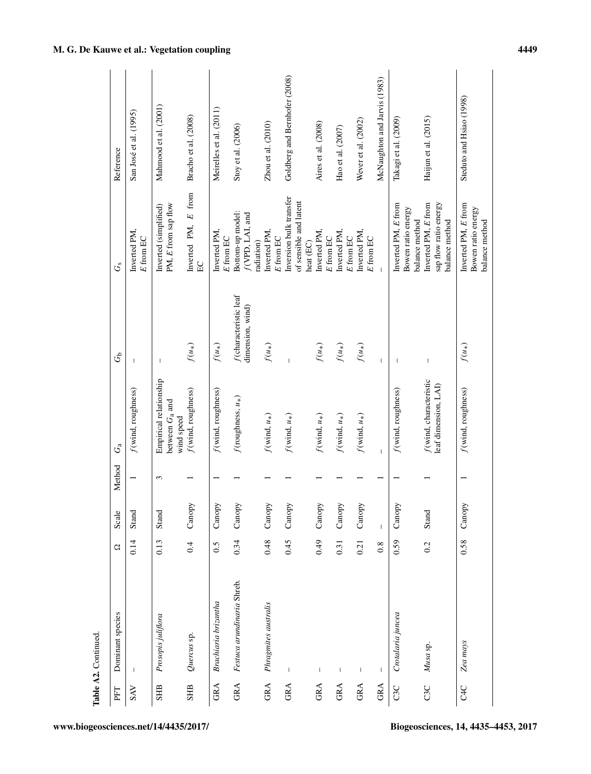|                 | Table A2. Continued.       |      |                                       |        |                                                           |                                              |                                                                |                               |
|-----------------|----------------------------|------|---------------------------------------|--------|-----------------------------------------------------------|----------------------------------------------|----------------------------------------------------------------|-------------------------------|
| PFT             | Dominant species           | G    | Scale                                 | Method | $G_{\rm a}$                                               | $G_{\mathbf{D}}^{\mathbf{b}}$                | Ğ                                                              | Reference                     |
| <b>SAV</b>      | $\overline{\phantom{a}}$   | 0.14 | Stand                                 |        | $f(\text{wind}, \text{roughness})$                        | $\overline{\phantom{a}}$                     | Inverted PM,<br>E from EC                                      | San José et al. (1995)        |
| <b>SHB</b>      | Prosopis juliflora         | 0.13 | Stand                                 | 3      | Empirical relationship<br>between $G_a$ and<br>wind speed |                                              | PM, E from sap flow<br>Inverted (simplified)                   | Mahmood et al. (2001)         |
| <b>SHB</b>      | Quercus sp.                | 0.4  | Canopy                                |        | f(wind, roughness)                                        | $f(u_*)$                                     | Inverted PM, E from<br>E <sub>C</sub>                          | Bracho et al. (2008)          |
| GRA             | Brachiaria brizantha       | 0.5  | Canopy                                |        | f(wind, roughness)                                        | $f(u_*)$                                     | Inverted PM,<br>E from EC                                      | Meirelles et al. (2011)       |
| <b>GRA</b>      | Festuca arundinaria Shreb. | 0.34 | Canopy                                |        | $f$ (roughness, $u_*$ )                                   | $f$ (characteristic leaf<br>dimension, wind) | Bottom-up model:<br>f(VPD, LAI, and<br>radiation)              | Stoy et al. (2006)            |
| GRA             | Phragmites australis       | 0.48 | Canopy                                |        | $f(\mbox{wind},\,u_*)$                                    | $f(u_*)$                                     | Inverted PM,<br>E from EC                                      | Zhou et al. $(2010)$          |
| GRA             | $\overline{1}$             | 0.45 | Canopy                                |        | $f(\text{wind}, u_*)$                                     |                                              | Inversion bulk transfer<br>of sensible and latent<br>heat (EC) | Goldberg and Bernhofer (2008) |
| GRA             | T                          | 64.0 | Canopy                                |        | $f(\mbox{wind},\,u_*)$                                    | $f(u_*)$                                     | Inverted PM,<br>$E$ from EC                                    | Aires et al. (2008)           |
| GRA             | $\mathbf{I}$               | 0.31 | Canopy                                |        | $f(\mbox{wind},\,u_*)$                                    | $f(u_*)$                                     | Inverted PM,<br>$\boldsymbol{E}$ from EC                       | Hao et al. (2007)             |
| <b>GRA</b>      | $\mathsf I$                | 0.21 | Canopy                                |        | $f(\text{wind}, u_*)$                                     | $f(u_*)$                                     | Inverted PM,<br>$\cal E$ from EC                               | Wever et al. (2002)           |
| GRA             | 1                          | 0.8  | $\begin{array}{c} \hline \end{array}$ |        | $\overline{1}$                                            | $\overline{1}$                               |                                                                | McNaughton and Jarvis (1983)  |
| C3C             | Crotalaria juncea          | 0.59 | Canopy                                |        | $f$ (wind, roughness)                                     | $\mathbf{I}$                                 | Inverted PM, E from<br>Bowen ratio energy<br>balance method    | Takagi et al. (2009)          |
| C3C             | Musa sp.                   | 0.2  | Stand                                 |        | f(wind, characteristic<br>leaf dimension, LAI)            | $\overline{\phantom{a}}$                     | Inverted PM, E from<br>sap flow ratio energy<br>balance method | Haijun et al. (2015)          |
| C <sub>4C</sub> | Zea mays                   | 0.58 | Canopy                                |        | $f$ (wind, roughness)                                     | $f(u_*)$                                     | Inverted PM, E from<br>Bowen ratio energy<br>balance method    | Steduto and Hsiao (1998)      |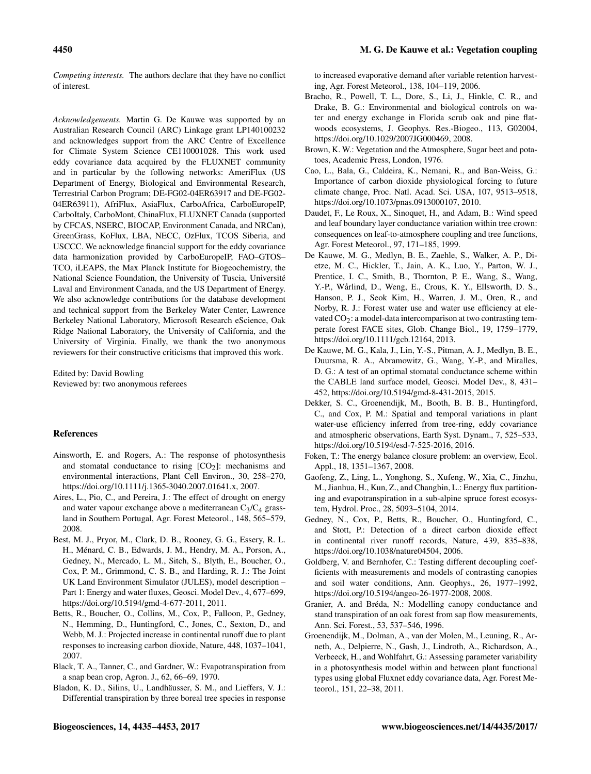*Competing interests.* The authors declare that they have no conflict of interest.

*Acknowledgements.* Martin G. De Kauwe was supported by an Australian Research Council (ARC) Linkage grant LP140100232 and acknowledges support from the ARC Centre of Excellence for Climate System Science CE110001028. This work used eddy covariance data acquired by the FLUXNET community and in particular by the following networks: AmeriFlux (US Department of Energy, Biological and Environmental Research, Terrestrial Carbon Program; DE-FG02-04ER63917 and DE-FG02- 04ER63911), AfriFlux, AsiaFlux, CarboAfrica, CarboEuropeIP, CarboItaly, CarboMont, ChinaFlux, FLUXNET Canada (supported by CFCAS, NSERC, BIOCAP, Environment Canada, and NRCan), GreenGrass, KoFlux, LBA, NECC, OzFlux, TCOS Siberia, and USCCC. We acknowledge financial support for the eddy covariance data harmonization provided by CarboEuropeIP, FAO–GTOS– TCO, iLEAPS, the Max Planck Institute for Biogeochemistry, the National Science Foundation, the University of Tuscia, Université Laval and Environment Canada, and the US Department of Energy. We also acknowledge contributions for the database development and technical support from the Berkeley Water Center, Lawrence Berkeley National Laboratory, Microsoft Research eScience, Oak Ridge National Laboratory, the University of California, and the University of Virginia. Finally, we thank the two anonymous reviewers for their constructive criticisms that improved this work.

Edited by: David Bowling Reviewed by: two anonymous referees

#### References

- <span id="page-15-0"></span>Ainsworth, E. and Rogers, A.: The response of photosynthesis and stomatal conductance to rising  $[CO<sub>2</sub>]$ : mechanisms and environmental interactions, Plant Cell Environ., 30, 258–270, https://doi.org[/10.1111/j.1365-3040.2007.01641.x,](https://doi.org/10.1111/j.1365-3040.2007.01641.x) 2007.
- <span id="page-15-18"></span>Aires, L., Pio, C., and Pereira, J.: The effect of drought on energy and water vapour exchange above a mediterranean  $C_3/C_4$  grassland in Southern Portugal, Agr. Forest Meteorol., 148, 565–579, 2008.
- <span id="page-15-8"></span>Best, M. J., Pryor, M., Clark, D. B., Rooney, G. G., Essery, R. L. H., Ménard, C. B., Edwards, J. M., Hendry, M. A., Porson, A., Gedney, N., Mercado, L. M., Sitch, S., Blyth, E., Boucher, O., Cox, P. M., Grimmond, C. S. B., and Harding, R. J.: The Joint UK Land Environment Simulator (JULES), model description – Part 1: Energy and water fluxes, Geosci. Model Dev., 4, 677–699, https://doi.org[/10.5194/gmd-4-677-2011,](https://doi.org/10.5194/gmd-4-677-2011) 2011.
- <span id="page-15-2"></span>Betts, R., Boucher, O., Collins, M., Cox, P., Falloon, P., Gedney, N., Hemming, D., Huntingford, C., Jones, C., Sexton, D., and Webb, M. J.: Projected increase in continental runoff due to plant responses to increasing carbon dioxide, Nature, 448, 1037–1041, 2007.
- <span id="page-15-5"></span>Black, T. A., Tanner, C., and Gardner, W.: Evapotranspiration from a snap bean crop, Agron. J., 62, 66–69, 1970.
- <span id="page-15-12"></span>Bladon, K. D., Silins, U., Landhäusser, S. M., and Lieffers, V. J.: Differential transpiration by three boreal tree species in response

to increased evaporative demand after variable retention harvesting, Agr. Forest Meteorol., 138, 104–119, 2006.

- <span id="page-15-15"></span>Bracho, R., Powell, T. L., Dore, S., Li, J., Hinkle, C. R., and Drake, B. G.: Environmental and biological controls on water and energy exchange in Florida scrub oak and pine flatwoods ecosystems, J. Geophys. Res.-Biogeo., 113, G02004, https://doi.org[/10.1029/2007JG000469,](https://doi.org/10.1029/2007JG000469) 2008.
- <span id="page-15-6"></span>Brown, K. W.: Vegetation and the Atmosphere, Sugar beet and potatoes, Academic Press, London, 1976.
- <span id="page-15-3"></span>Cao, L., Bala, G., Caldeira, K., Nemani, R., and Ban-Weiss, G.: Importance of carbon dioxide physiological forcing to future climate change, Proc. Natl. Acad. Sci. USA, 107, 9513–9518, https://doi.org[/10.1073/pnas.0913000107,](https://doi.org/10.1073/pnas.0913000107) 2010.
- <span id="page-15-16"></span>Daudet, F., Le Roux, X., Sinoquet, H., and Adam, B.: Wind speed and leaf boundary layer conductance variation within tree crown: consequences on leaf-to-atmosphere coupling and tree functions, Agr. Forest Meteorol., 97, 171–185, 1999.
- <span id="page-15-4"></span>De Kauwe, M. G., Medlyn, B. E., Zaehle, S., Walker, A. P., Dietze, M. C., Hickler, T., Jain, A. K., Luo, Y., Parton, W. J., Prentice, I. C., Smith, B., Thornton, P. E., Wang, S., Wang, Y.-P., Wårlind, D., Weng, E., Crous, K. Y., Ellsworth, D. S., Hanson, P. J., Seok Kim, H., Warren, J. M., Oren, R., and Norby, R. J.: Forest water use and water use efficiency at elevated  $CO<sub>2</sub>$ : a model-data intercomparison at two contrasting temperate forest FACE sites, Glob. Change Biol., 19, 1759–1779, https://doi.org[/10.1111/gcb.12164,](https://doi.org/10.1111/gcb.12164) 2013.
- <span id="page-15-7"></span>De Kauwe, M. G., Kala, J., Lin, Y.-S., Pitman, A. J., Medlyn, B. E., Duursma, R. A., Abramowitz, G., Wang, Y.-P., and Miralles, D. G.: A test of an optimal stomatal conductance scheme within the CABLE land surface model, Geosci. Model Dev., 8, 431– 452, https://doi.org[/10.5194/gmd-8-431-2015,](https://doi.org/10.5194/gmd-8-431-2015) 2015.
- <span id="page-15-10"></span>Dekker, S. C., Groenendijk, M., Booth, B. B. B., Huntingford, C., and Cox, P. M.: Spatial and temporal variations in plant water-use efficiency inferred from tree-ring, eddy covariance and atmospheric observations, Earth Syst. Dynam., 7, 525–533, https://doi.org[/10.5194/esd-7-525-2016,](https://doi.org/10.5194/esd-7-525-2016) 2016.
- <span id="page-15-11"></span>Foken, T.: The energy balance closure problem: an overview, Ecol. Appl., 18, 1351–1367, 2008.
- <span id="page-15-14"></span>Gaofeng, Z., Ling, L., Yonghong, S., Xufeng, W., Xia, C., Jinzhu, M., Jianhua, H., Kun, Z., and Changbin, L.: Energy flux partitioning and evapotranspiration in a sub-alpine spruce forest ecosystem, Hydrol. Proc., 28, 5093–5104, 2014.
- <span id="page-15-1"></span>Gedney, N., Cox, P., Betts, R., Boucher, O., Huntingford, C., and Stott, P.: Detection of a direct carbon dioxide effect in continental river runoff records, Nature, 439, 835–838, https://doi.org[/10.1038/nature04504,](https://doi.org/10.1038/nature04504) 2006.
- <span id="page-15-13"></span>Goldberg, V. and Bernhofer, C.: Testing different decoupling coefficients with measurements and models of contrasting canopies and soil water conditions, Ann. Geophys., 26, 1977–1992, https://doi.org[/10.5194/angeo-26-1977-2008,](https://doi.org/10.5194/angeo-26-1977-2008) 2008.
- <span id="page-15-17"></span>Granier, A. and Bréda, N.: Modelling canopy conductance and stand transpiration of an oak forest from sap flow measurements, Ann. Sci. Forest., 53, 537–546, 1996.
- <span id="page-15-9"></span>Groenendijk, M., Dolman, A., van der Molen, M., Leuning, R., Arneth, A., Delpierre, N., Gash, J., Lindroth, A., Richardson, A., Verbeeck, H., and Wohlfahrt, G.: Assessing parameter variability in a photosynthesis model within and between plant functional types using global Fluxnet eddy covariance data, Agr. Forest Meteorol., 151, 22–38, 2011.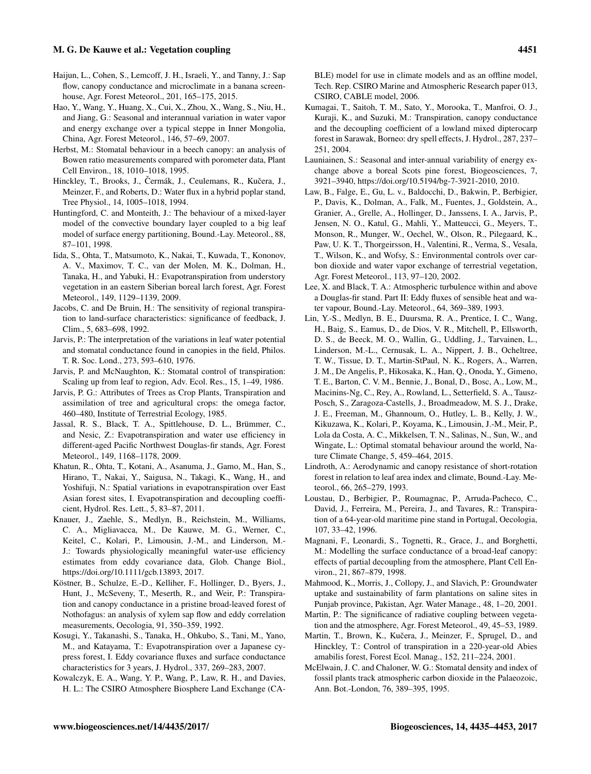- <span id="page-16-27"></span>Haijun, L., Cohen, S., Lemcoff, J. H., Israeli, Y., and Tanny, J.: Sap flow, canopy conductance and microclimate in a banana screenhouse, Agr. Forest Meteorol., 201, 165–175, 2015.
- <span id="page-16-26"></span>Hao, Y., Wang, Y., Huang, X., Cui, X., Zhou, X., Wang, S., Niu, H., and Jiang, G.: Seasonal and interannual variation in water vapor and energy exchange over a typical steppe in Inner Mongolia, China, Agr. Forest Meteorol., 146, 57–69, 2007.
- <span id="page-16-21"></span>Herbst, M.: Stomatal behaviour in a beech canopy: an analysis of Bowen ratio measurements compared with porometer data, Plant Cell Environ., 18, 1010–1018, 1995.
- <span id="page-16-23"></span>Hinckley, T., Brooks, J., Čermák, J., Ceulemans, R., Kučera, J., Meinzer, F., and Roberts, D.: Water flux in a hybrid poplar stand, Tree Physiol., 14, 1005–1018, 1994.
- <span id="page-16-11"></span>Huntingford, C. and Monteith, J.: The behaviour of a mixed-layer model of the convective boundary layer coupled to a big leaf model of surface energy partitioning, Bound.-Lay. Meteorol., 88, 87–101, 1998.
- <span id="page-16-20"></span>Iida, S., Ohta, T., Matsumoto, K., Nakai, T., Kuwada, T., Kononov, A. V., Maximov, T. C., van der Molen, M. K., Dolman, H., Tanaka, H., and Yabuki, H.: Evapotranspiration from understory vegetation in an eastern Siberian boreal larch forest, Agr. Forest Meteorol., 149, 1129–1139, 2009.
- <span id="page-16-2"></span>Jacobs, C. and De Bruin, H.: The sensitivity of regional transpiration to land-surface characteristics: significance of feedback, J. Clim., 5, 683–698, 1992.
- <span id="page-16-22"></span>Jarvis, P.: The interpretation of the variations in leaf water potential and stomatal conductance found in canopies in the field, Philos. T. R. Soc. Lond., 273, 593–610, 1976.
- <span id="page-16-1"></span>Jarvis, P. and McNaughton, K.: Stomatal control of transpiration: Scaling up from leaf to region, Adv. Ecol. Res., 15, 1–49, 1986.
- <span id="page-16-3"></span>Jarvis, P. G.: Attributes of Trees as Crop Plants, Transpiration and assimilation of tree and agricultural crops: the omega factor, 460–480, Institute of Terrestrial Ecology, 1985.
- <span id="page-16-17"></span>Jassal, R. S., Black, T. A., Spittlehouse, D. L., Brümmer, C., and Nesic, Z.: Evapotranspiration and water use efficiency in different-aged Pacific Northwest Douglas-fir stands, Agr. Forest Meteorol., 149, 1168–1178, 2009.
- <span id="page-16-6"></span>Khatun, R., Ohta, T., Kotani, A., Asanuma, J., Gamo, M., Han, S., Hirano, T., Nakai, Y., Saigusa, N., Takagi, K., Wang, H., and Yoshifuji, N.: Spatial variations in evapotranspiration over East Asian forest sites, I. Evapotranspiration and decoupling coefficient, Hydrol. Res. Lett., 5, 83–87, 2011.
- <span id="page-16-12"></span>Knauer, J., Zaehle, S., Medlyn, B., Reichstein, M., Williams, C. A., Migliavacca, M., De Kauwe, M. G., Werner, C., Keitel, C., Kolari, P., Limousin, J.-M., and Linderson, M.- J.: Towards physiologically meaningful water-use efficiency estimates from eddy covariance data, Glob. Change Biol., https://doi.org[/10.1111/gcb.13893,](https://doi.org/10.1111/gcb.13893) 2017.
- <span id="page-16-19"></span>Köstner, B., Schulze, E.-D., Kelliher, F., Hollinger, D., Byers, J., Hunt, J., McSeveny, T., Meserth, R., and Weir, P.: Transpiration and canopy conductance in a pristine broad-leaved forest of Nothofagus: an analysis of xylem sap flow and eddy correlation measurements, Oecologia, 91, 350–359, 1992.
- <span id="page-16-14"></span>Kosugi, Y., Takanashi, S., Tanaka, H., Ohkubo, S., Tani, M., Yano, M., and Katayama, T.: Evapotranspiration over a Japanese cypress forest, I. Eddy covariance fluxes and surface conductance characteristics for 3 years, J. Hydrol., 337, 269–283, 2007.
- <span id="page-16-10"></span>Kowalczyk, E. A., Wang, Y. P., Wang, P., Law, R. H., and Davies, H. L.: The CSIRO Atmosphere Biosphere Land Exchange (CA-

BLE) model for use in climate models and as an offline model, Tech. Rep. CSIRO Marine and Atmospheric Research paper 013, CSIRO, CABLE model, 2006.

- <span id="page-16-25"></span>Kumagai, T., Saitoh, T. M., Sato, Y., Morooka, T., Manfroi, O. J., Kuraji, K., and Suzuki, M.: Transpiration, canopy conductance and the decoupling coefficient of a lowland mixed dipterocarp forest in Sarawak, Borneo: dry spell effects, J. Hydrol., 287, 237– 251, 2004.
- <span id="page-16-16"></span>Launiainen, S.: Seasonal and inter-annual variability of energy exchange above a boreal Scots pine forest, Biogeosciences, 7, 3921–3940, https://doi.org[/10.5194/bg-7-3921-2010,](https://doi.org/10.5194/bg-7-3921-2010) 2010.
- <span id="page-16-9"></span>Law, B., Falge, E., Gu, L. v., Baldocchi, D., Bakwin, P., Berbigier, P., Davis, K., Dolman, A., Falk, M., Fuentes, J., Goldstein, A., Granier, A., Grelle, A., Hollinger, D., Janssens, I. A., Jarvis, P., Jensen, N. O., Katul, G., Mahli, Y., Matteucci, G., Meyers, T., Monson, R., Munger, W., Oechel, W., Olson, R., Pilegaard, K., Paw, U. K. T., Thorgeirsson, H., Valentini, R., Verma, S., Vesala, T., Wilson, K., and Wofsy, S.: Environmental controls over carbon dioxide and water vapor exchange of terrestrial vegetation, Agr. Forest Meteorol., 113, 97–120, 2002.
- <span id="page-16-4"></span>Lee, X. and Black, T. A.: Atmospheric turbulence within and above a Douglas-fir stand. Part II: Eddy fluxes of sensible heat and water vapour, Bound.-Lay. Meteorol., 64, 369–389, 1993.
- <span id="page-16-7"></span>Lin, Y.-S., Medlyn, B. E., Duursma, R. A., Prentice, I. C., Wang, H., Baig, S., Eamus, D., de Dios, V. R., Mitchell, P., Ellsworth, D. S., de Beeck, M. O., Wallin, G., Uddling, J., Tarvainen, L., Linderson, M.-L., Cernusak, L. A., Nippert, J. B., Ocheltree, T. W., Tissue, D. T., Martin-StPaul, N. K., Rogers, A., Warren, J. M., De Angelis, P., Hikosaka, K., Han, Q., Onoda, Y., Gimeno, T. E., Barton, C. V. M., Bennie, J., Bonal, D., Bosc, A., Low, M., Macinins-Ng, C., Rey, A., Rowland, L., Setterfield, S. A., Tausz-Posch, S., Zaragoza-Castells, J., Broadmeadow, M. S. J., Drake, J. E., Freeman, M., Ghannoum, O., Hutley, L. B., Kelly, J. W., Kikuzawa, K., Kolari, P., Koyama, K., Limousin, J.-M., Meir, P., Lola da Costa, A. C., Mikkelsen, T. N., Salinas, N., Sun, W., and Wingate, L.: Optimal stomatal behaviour around the world, Nature Climate Change, 5, 459–464, 2015.
- <span id="page-16-24"></span>Lindroth, A.: Aerodynamic and canopy resistance of short-rotation forest in relation to leaf area index and climate, Bound.-Lay. Meteorol., 66, 265–279, 1993.
- <span id="page-16-15"></span>Loustau, D., Berbigier, P., Roumagnac, P., Arruda-Pacheco, C., David, J., Ferreira, M., Pereira, J., and Tavares, R.: Transpiration of a 64-year-old maritime pine stand in Portugal, Oecologia, 107, 33–42, 1996.
- <span id="page-16-5"></span>Magnani, F., Leonardi, S., Tognetti, R., Grace, J., and Borghetti, M.: Modelling the surface conductance of a broad-leaf canopy: effects of partial decoupling from the atmosphere, Plant Cell Environ., 21, 867–879, 1998.
- <span id="page-16-18"></span>Mahmood, K., Morris, J., Collopy, J., and Slavich, P.: Groundwater uptake and sustainability of farm plantations on saline sites in Punjab province, Pakistan, Agr. Water Manage., 48, 1–20, 2001.
- <span id="page-16-8"></span>Martin, P.: The significance of radiative coupling between vegetation and the atmosphere, Agr. Forest Meteorol., 49, 45–53, 1989.
- <span id="page-16-13"></span>Martin, T., Brown, K., Kučera, J., Meinzer, F., Sprugel, D., and Hinckley, T.: Control of transpiration in a 220-year-old Abies amabilis forest, Forest Ecol. Manag., 152, 211–224, 2001.
- <span id="page-16-0"></span>McElwain, J. C. and Chaloner, W. G.: Stomatal density and index of fossil plants track atmospheric carbon dioxide in the Palaeozoic, Ann. Bot.-London, 76, 389–395, 1995.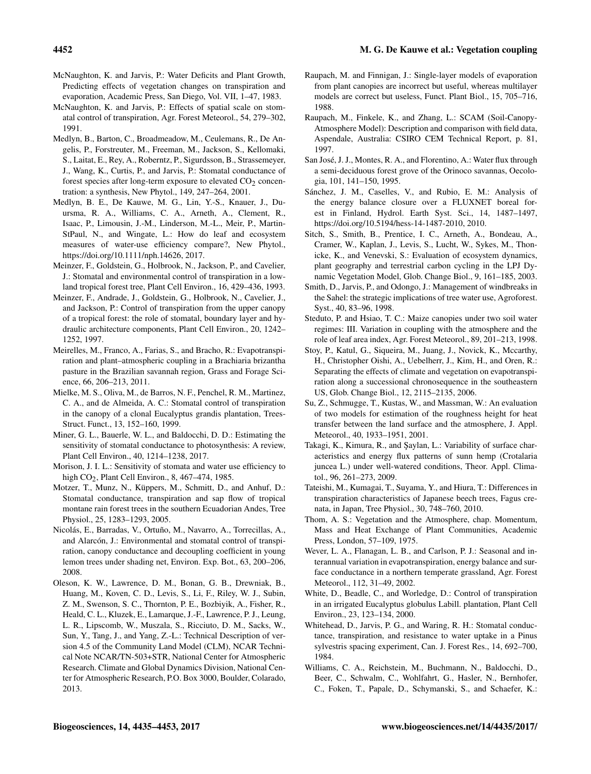- <span id="page-17-2"></span>McNaughton, K. and Jarvis, P.: Water Deficits and Plant Growth, Predicting effects of vegetation changes on transpiration and evaporation, Academic Press, San Diego, Vol. VII, 1–47, 1983.
- <span id="page-17-3"></span>McNaughton, K. and Jarvis, P.: Effects of spatial scale on stomatal control of transpiration, Agr. Forest Meteorol., 54, 279–302, 1991.
- <span id="page-17-1"></span>Medlyn, B., Barton, C., Broadmeadow, M., Ceulemans, R., De Angelis, P., Forstreuter, M., Freeman, M., Jackson, S., Kellomaki, S., Laitat, E., Rey, A., Roberntz, P., Sigurdsson, B., Strassemeyer, J., Wang, K., Curtis, P., and Jarvis, P.: Stomatal conductance of forest species after long-term exposure to elevated  $CO<sub>2</sub>$  concentration: a synthesis, New Phytol., 149, 247–264, 2001.
- <span id="page-17-18"></span>Medlyn, B. E., De Kauwe, M. G., Lin, Y.-S., Knauer, J., Duursma, R. A., Williams, C. A., Arneth, A., Clement, R., Isaac, P., Limousin, J.-M., Linderson, M.-L., Meir, P., Martin-StPaul, N., and Wingate, L.: How do leaf and ecosystem measures of water-use efficiency compare?, New Phytol., https://doi.org[/10.1111/nph.14626,](https://doi.org/10.1111/nph.14626) 2017.
- <span id="page-17-5"></span>Meinzer, F., Goldstein, G., Holbrook, N., Jackson, P., and Cavelier, J.: Stomatal and environmental control of transpiration in a lowland tropical forest tree, Plant Cell Environ., 16, 429–436, 1993.
- <span id="page-17-6"></span>Meinzer, F., Andrade, J., Goldstein, G., Holbrook, N., Cavelier, J., and Jackson, P.: Control of transpiration from the upper canopy of a tropical forest: the role of stomatal, boundary layer and hydraulic architecture components, Plant Cell Environ., 20, 1242– 1252, 1997.
- <span id="page-17-25"></span>Meirelles, M., Franco, A., Farias, S., and Bracho, R.: Evapotranspiration and plant–atmospheric coupling in a Brachiaria brizantha pasture in the Brazilian savannah region, Grass and Forage Science, 66, 206–213, 2011.
- <span id="page-17-7"></span>Mielke, M. S., Oliva, M., de Barros, N. F., Penchel, R. M., Martinez, C. A., and de Almeida, A. C.: Stomatal control of transpiration in the canopy of a clonal Eucalyptus grandis plantation, Trees-Struct. Funct., 13, 152–160, 1999.
- <span id="page-17-9"></span>Miner, G. L., Bauerle, W. L., and Baldocchi, D. D.: Estimating the sensitivity of stomatal conductance to photosynthesis: A review, Plant Cell Environ., 40, 1214–1238, 2017.
- <span id="page-17-0"></span>Morison, J. I. L.: Sensitivity of stomata and water use efficiency to high CO<sub>2</sub>, Plant Cell Environ., 8, 467-474, 1985.
- <span id="page-17-23"></span>Motzer, T., Munz, N., Küppers, M., Schmitt, D., and Anhuf, D.: Stomatal conductance, transpiration and sap flow of tropical montane rain forest trees in the southern Ecuadorian Andes, Tree Physiol., 25, 1283–1293, 2005.
- <span id="page-17-20"></span>Nicolás, E., Barradas, V., Ortuño, M., Navarro, A., Torrecillas, A., and Alarcón, J.: Environmental and stomatal control of transpiration, canopy conductance and decoupling coefficient in young lemon trees under shading net, Environ. Exp. Bot., 63, 200–206, 2008.
- <span id="page-17-13"></span>Oleson, K. W., Lawrence, D. M., Bonan, G. B., Drewniak, B., Huang, M., Koven, C. D., Levis, S., Li, F., Riley, W. J., Subin, Z. M., Swenson, S. C., Thornton, P. E., Bozbiyik, A., Fisher, R., Heald, C. L., Kluzek, E., Lamarque, J.-F., Lawrence, P. J., Leung, L. R., Lipscomb, W., Muszala, S., Ricciuto, D. M., Sacks, W., Sun, Y., Tang, J., and Yang, Z.-L.: Technical Description of version 4.5 of the Community Land Model (CLM), NCAR Technical Note NCAR/TN-503+STR, National Center for Atmospheric Research. Climate and Global Dynamics Division, National Center for Atmospheric Research, P.O. Box 3000, Boulder, Colarado, 2013.
- <span id="page-17-16"></span>Raupach, M. and Finnigan, J.: Single-layer models of evaporation from plant canopies are incorrect but useful, whereas multilayer models are correct but useless, Funct. Plant Biol., 15, 705–716, 1988.
- <span id="page-17-14"></span>Raupach, M., Finkele, K., and Zhang, L.: SCAM (Soil-Canopy-Atmosphere Model): Description and comparison with field data, Aspendale, Australia: CSIRO CEM Technical Report, p. 81, 1997.
- <span id="page-17-24"></span>San José, J. J., Montes, R. A., and Florentino, A.: Water flux through a semi-deciduous forest grove of the Orinoco savannas, Oecologia, 101, 141–150, 1995.
- <span id="page-17-12"></span>Sánchez, J. M., Caselles, V., and Rubio, E. M.: Analysis of the energy balance closure over a FLUXNET boreal forest in Finland, Hydrol. Earth Syst. Sci., 14, 1487–1497, https://doi.org[/10.5194/hess-14-1487-2010,](https://doi.org/10.5194/hess-14-1487-2010) 2010.
- <span id="page-17-15"></span>Sitch, S., Smith, B., Prentice, I. C., Arneth, A., Bondeau, A., Cramer, W., Kaplan, J., Levis, S., Lucht, W., Sykes, M., Thonicke, K., and Venevski, S.: Evaluation of ecosystem dynamics, plant geography and terrestrial carbon cycling in the LPJ Dynamic Vegetation Model, Glob. Change Biol., 9, 161–185, 2003.
- <span id="page-17-19"></span>Smith, D., Jarvis, P., and Odongo, J.: Management of windbreaks in the Sahel: the strategic implications of tree water use, Agroforest. Syst., 40, 83–96, 1998.
- <span id="page-17-28"></span>Steduto, P. and Hsiao, T. C.: Maize canopies under two soil water regimes: III. Variation in coupling with the atmosphere and the role of leaf area index, Agr. Forest Meteorol., 89, 201–213, 1998.
- <span id="page-17-8"></span>Stoy, P., Katul, G., Siqueira, M., Juang, J., Novick, K., Mccarthy, H., Christopher Oishi, A., Uebelherr, J., Kim, H., and Oren, R.: Separating the effects of climate and vegetation on evapotranspiration along a successional chronosequence in the southeastern US, Glob. Change Biol., 12, 2115–2135, 2006.
- <span id="page-17-17"></span>Su, Z., Schmugge, T., Kustas, W., and Massman, W.: An evaluation of two models for estimation of the roughness height for heat transfer between the land surface and the atmosphere, J. Appl. Meteorol., 40, 1933–1951, 2001.
- <span id="page-17-27"></span>Takagi, K., Kimura, R., and Saylan, L.: Variability of surface characteristics and energy flux patterns of sunn hemp (Crotalaria juncea L.) under well-watered conditions, Theor. Appl. Climatol., 96, 261–273, 2009.
- <span id="page-17-22"></span>Tateishi, M., Kumagai, T., Suyama, Y., and Hiura, T.: Differences in transpiration characteristics of Japanese beech trees, Fagus crenata, in Japan, Tree Physiol., 30, 748–760, 2010.
- <span id="page-17-10"></span>Thom, A. S.: Vegetation and the Atmosphere, chap. Momentum, Mass and Heat Exchange of Plant Communities, Academic Press, London, 57–109, 1975.
- <span id="page-17-26"></span>Wever, L. A., Flanagan, L. B., and Carlson, P. J.: Seasonal and interannual variation in evapotranspiration, energy balance and surface conductance in a northern temperate grassland, Agr. Forest Meteorol., 112, 31–49, 2002.
- <span id="page-17-21"></span>White, D., Beadle, C., and Worledge, D.: Control of transpiration in an irrigated Eucalyptus globulus Labill. plantation, Plant Cell Environ., 23, 123–134, 2000.
- <span id="page-17-4"></span>Whitehead, D., Jarvis, P. G., and Waring, R. H.: Stomatal conductance, transpiration, and resistance to water uptake in a Pinus sylvestris spacing experiment, Can. J. Forest Res., 14, 692–700, 1984.
- <span id="page-17-11"></span>Williams, C. A., Reichstein, M., Buchmann, N., Baldocchi, D., Beer, C., Schwalm, C., Wohlfahrt, G., Hasler, N., Bernhofer, C., Foken, T., Papale, D., Schymanski, S., and Schaefer, K.: